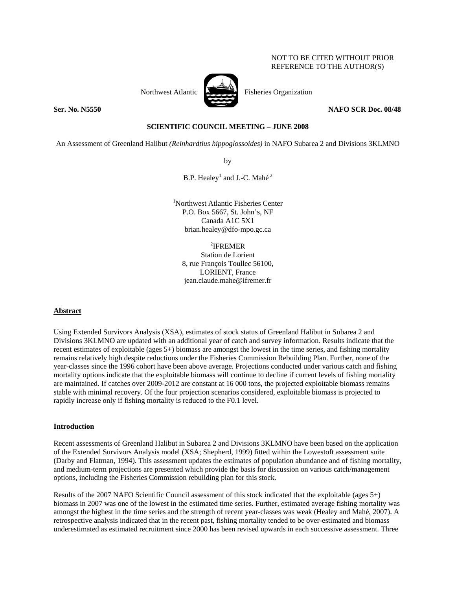# NOT TO BE CITED WITHOUT PRIOR REFERENCE TO THE AUTHOR(S)



Northwest Atlantic **Northuset Atlantic** Fisheries Organization

**Ser. No. N5550 NAFO SCR Doc. 08/48** 

# **SCIENTIFIC COUNCIL MEETING – JUNE 2008**

An Assessment of Greenland Halibut *(Reinhardtius hippoglossoides)* in NAFO Subarea 2 and Divisions 3KLMNO

by

B.P. Healey<sup>1</sup> and J.-C. Mahé<sup>2</sup>

1 Northwest Atlantic Fisheries Center P.O. Box 5667, St. John's, NF Canada A1C 5X1 brian.healey@dfo-mpo.gc.ca

2 IFREMER Station de Lorient 8, rue François Toullec 56100, LORIENT, France jean.claude.mahe@ifremer.fr

# **Abstract**

Using Extended Survivors Analysis (XSA), estimates of stock status of Greenland Halibut in Subarea 2 and Divisions 3KLMNO are updated with an additional year of catch and survey information. Results indicate that the recent estimates of exploitable (ages 5+) biomass are amongst the lowest in the time series, and fishing mortality remains relatively high despite reductions under the Fisheries Commission Rebuilding Plan. Further, none of the year-classes since the 1996 cohort have been above average. Projections conducted under various catch and fishing mortality options indicate that the exploitable biomass will continue to decline if current levels of fishing mortality are maintained. If catches over 2009-2012 are constant at 16 000 tons, the projected exploitable biomass remains stable with minimal recovery. Of the four projection scenarios considered, exploitable biomass is projected to rapidly increase only if fishing mortality is reduced to the F0.1 level.

# **Introduction**

Recent assessments of Greenland Halibut in Subarea 2 and Divisions 3KLMNO have been based on the application of the Extended Survivors Analysis model (XSA; Shepherd, 1999) fitted within the Lowestoft assessment suite (Darby and Flatman, 1994). This assessment updates the estimates of population abundance and of fishing mortality, and medium-term projections are presented which provide the basis for discussion on various catch/management options, including the Fisheries Commission rebuilding plan for this stock.

Results of the 2007 NAFO Scientific Council assessment of this stock indicated that the exploitable (ages 5+) biomass in 2007 was one of the lowest in the estimated time series. Further, estimated average fishing mortality was amongst the highest in the time series and the strength of recent year-classes was weak (Healey and Mahé, 2007). A retrospective analysis indicated that in the recent past, fishing mortality tended to be over-estimated and biomass underestimated as estimated recruitment since 2000 has been revised upwards in each successive assessment. Three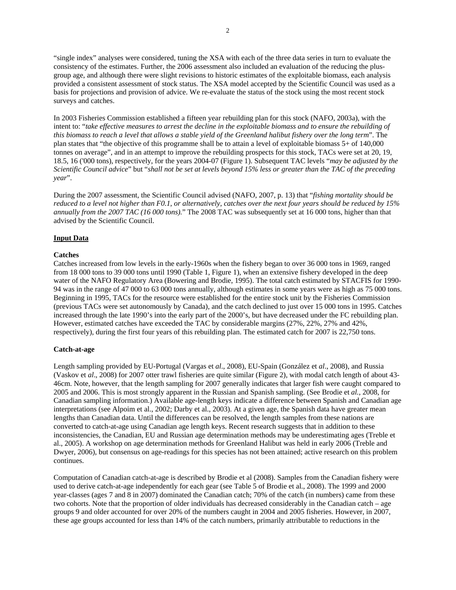"single index" analyses were considered, tuning the XSA with each of the three data series in turn to evaluate the consistency of the estimates. Further, the 2006 assessment also included an evaluation of the reducing the plusgroup age, and although there were slight revisions to historic estimates of the exploitable biomass, each analysis provided a consistent assessment of stock status. The XSA model accepted by the Scientific Council was used as a basis for projections and provision of advice. We re-evaluate the status of the stock using the most recent stock surveys and catches.

In 2003 Fisheries Commission established a fifteen year rebuilding plan for this stock (NAFO, 2003a), with the intent to: "*take effective measures to arrest the decline in the exploitable biomass and to ensure the rebuilding of this biomass to reach a level that allows a stable yield of the Greenland halibut fishery over the long term*". The plan states that "the objective of this programme shall be to attain a level of exploitable biomass 5+ of 140,000 tonnes on average", and in an attempt to improve the rebuilding prospects for this stock, TACs were set at 20, 19, 18.5, 16 ('000 tons), respectively, for the years 2004-07 (Figure 1). Subsequent TAC levels "*may be adjusted by the Scientific Council advice*" but "*shall not be set at levels beyond 15% less or greater than the TAC of the preceding year*".

During the 2007 assessment, the Scientific Council advised (NAFO, 2007, p. 13) that "*fishing mortality should be reduced to a level not higher than F0.1, or alternatively, catches over the next four years should be reduced by 15% annually from the 2007 TAC (16 000 tons).*" The 2008 TAC was subsequently set at 16 000 tons, higher than that advised by the Scientific Council.

# **Input Data**

### **Catches**

Catches increased from low levels in the early-1960s when the fishery began to over 36 000 tons in 1969, ranged from 18 000 tons to 39 000 tons until 1990 (Table 1, Figure 1), when an extensive fishery developed in the deep water of the NAFO Regulatory Area (Bowering and Brodie, 1995). The total catch estimated by STACFIS for 1990- 94 was in the range of 47 000 to 63 000 tons annually, although estimates in some years were as high as 75 000 tons. Beginning in 1995, TACs for the resource were established for the entire stock unit by the Fisheries Commission (previous TACs were set autonomously by Canada), and the catch declined to just over 15 000 tons in 1995. Catches increased through the late 1990's into the early part of the 2000's, but have decreased under the FC rebuilding plan. However, estimated catches have exceeded the TAC by considerable margins (27%, 22%, 27% and 42%, respectively), during the first four years of this rebuilding plan. The estimated catch for 2007 is 22,750 tons.

### **Catch-at-age**

Length sampling provided by EU-Portugal (Vargas et *al*., 2008), EU-Spain (González et *al*., 2008), and Russia (Vaskov et *al*., 2008) for 2007 otter trawl fisheries are quite similar (Figure 2), with modal catch length of about 43- 46cm. Note, however, that the length sampling for 2007 generally indicates that larger fish were caught compared to 2005 and 2006. This is most strongly apparent in the Russian and Spanish sampling. (See Brodie et *al.*, 2008, for Canadian sampling information.) Available age-length keys indicate a difference between Spanish and Canadian age interpretations (see Alpoim et al., 2002; Darby et al., 2003). At a given age, the Spanish data have greater mean lengths than Canadian data. Until the differences can be resolved, the length samples from these nations are converted to catch-at-age using Canadian age length keys. Recent research suggests that in addition to these inconsistencies, the Canadian, EU and Russian age determination methods may be underestimating ages (Treble et al., 2005). A workshop on age determination methods for Greenland Halibut was held in early 2006 (Treble and Dwyer, 2006), but consensus on age-readings for this species has not been attained; active research on this problem continues.

Computation of Canadian catch-at-age is described by Brodie et al (2008). Samples from the Canadian fishery were used to derive catch-at-age independently for each gear (see Table 5 of Brodie et al., 2008). The 1999 and 2000 year-classes (ages 7 and 8 in 2007) dominated the Canadian catch; 70% of the catch (in numbers) came from these two cohorts. Note that the proportion of older individuals has decreased considerably in the Canadian catch – age groups 9 and older accounted for over 20% of the numbers caught in 2004 and 2005 fisheries. However, in 2007, these age groups accounted for less than 14% of the catch numbers, primarily attributable to reductions in the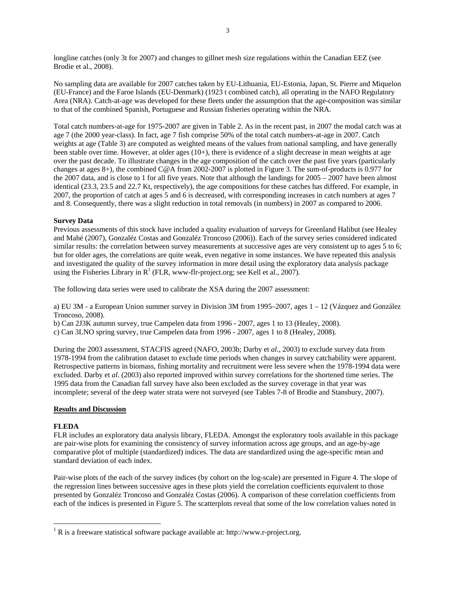longline catches (only 3t for 2007) and changes to gillnet mesh size regulations within the Canadian EEZ (see Brodie et al., 2008).

No sampling data are available for 2007 catches taken by EU-Lithuania, EU-Estonia, Japan, St. Pierre and Miquelon (EU-France) and the Faroe Islands (EU-Denmark) (1923 t combined catch), all operating in the NAFO Regulatory Area (NRA). Catch-at-age was developed for these fleets under the assumption that the age-composition was similar to that of the combined Spanish, Portuguese and Russian fisheries operating within the NRA.

Total catch numbers-at-age for 1975-2007 are given in Table 2. As in the recent past, in 2007 the modal catch was at age 7 (the 2000 year-class). In fact, age 7 fish comprise 50% of the total catch numbers-at-age in 2007. Catch weights at age (Table 3) are computed as weighted means of the values from national sampling, and have generally been stable over time. However, at older ages (10+), there is evidence of a slight decrease in mean weights at age over the past decade. To illustrate changes in the age composition of the catch over the past five years (particularly changes at ages 8+), the combined C@A from 2002-2007 is plotted in Figure 3. The sum-of-products is 0.977 for the 2007 data, and is close to 1 for all five years. Note that although the landings for  $2005 - 2007$  have been almost identical (23.3, 23.5 and 22.7 Kt, respectively), the age compositions for these catches has differed. For example, in 2007, the proportion of catch at ages 5 and 6 is decreased, with corresponding increases in catch numbers at ages 7 and 8. Consequently, there was a slight reduction in total removals (in numbers) in 2007 as compared to 2006.

# **Survey Data**

Previous assessments of this stock have included a quality evaluation of surveys for Greenland Halibut (see Healey and Mahé (2007), Gonzaléz Costas and Gonzaléz Troncoso (2006)). Each of the survey series considered indicated similar results: the correlation between survey measurements at successive ages are very consistent up to ages 5 to 6; but for older ages, the correlations are quite weak, even negative in some instances. We have repeated this analysis and investigated the quality of the survey information in more detail using the exploratory data analysis package using the Fisheries Library in  $R^1$  (FLR, www-flr-project.org; see Kell et al., 2007).

The following data series were used to calibrate the XSA during the 2007 assessment:

a) EU 3M - a European Union summer survey in Division 3M from 1995–2007, ages 1 – 12 (Vázquez and González Troncoso, 2008).

b) Can 2J3K autumn survey, true Campelen data from 1996 - 2007, ages 1 to 13 (Healey, 2008).

c) Can 3LNO spring survey, true Campelen data from 1996 - 2007, ages 1 to 8 (Healey, 2008).

During the 2003 assessment, STACFIS agreed (NAFO, 2003b; Darby et *al.*, 2003) to exclude survey data from 1978-1994 from the calibration dataset to exclude time periods when changes in survey catchability were apparent. Retrospective patterns in biomass, fishing mortality and recruitment were less severe when the 1978-1994 data were excluded. Darby et *al.* (2003) also reported improved within survey correlations for the shortened time series. The 1995 data from the Canadian fall survey have also been excluded as the survey coverage in that year was incomplete; several of the deep water strata were not surveyed (see Tables 7-8 of Brodie and Stansbury, 2007).

# **Results and Discussion**

# **FLEDA**

 $\overline{a}$ 

FLR includes an exploratory data analysis library, FLEDA. Amongst the exploratory tools available in this package are pair-wise plots for examining the consistency of survey information across age groups, and an age-by-age comparative plot of multiple (standardized) indices. The data are standardized using the age-specific mean and standard deviation of each index.

Pair-wise plots of the each of the survey indices (by cohort on the log-scale) are presented in Figure 4. The slope of the regression lines between successive ages in these plots yield the correlation coefficients equivalent to those presented by Gonzaléz Troncoso and Gonzaléz Costas (2006). A comparison of these correlation coefficients from each of the indices is presented in Figure 5. The scatterplots reveal that some of the low correlation values noted in

<sup>&</sup>lt;sup>1</sup> R is a freeware statistical software package available at: http://www.r-project.org.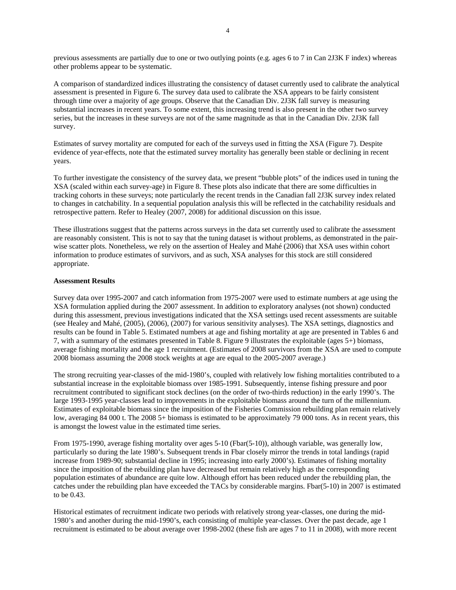previous assessments are partially due to one or two outlying points (e.g. ages 6 to 7 in Can 2J3K F index) whereas other problems appear to be systematic.

A comparison of standardized indices illustrating the consistency of dataset currently used to calibrate the analytical assessment is presented in Figure 6. The survey data used to calibrate the XSA appears to be fairly consistent through time over a majority of age groups. Observe that the Canadian Div. 2J3K fall survey is measuring substantial increases in recent years. To some extent, this increasing trend is also present in the other two survey series, but the increases in these surveys are not of the same magnitude as that in the Canadian Div. 2J3K fall survey.

Estimates of survey mortality are computed for each of the surveys used in fitting the XSA (Figure 7). Despite evidence of year-effects, note that the estimated survey mortality has generally been stable or declining in recent years.

To further investigate the consistency of the survey data, we present "bubble plots" of the indices used in tuning the XSA (scaled within each survey-age) in Figure 8. These plots also indicate that there are some difficulties in tracking cohorts in these surveys; note particularly the recent trends in the Canadian fall 2J3K survey index related to changes in catchability. In a sequential population analysis this will be reflected in the catchability residuals and retrospective pattern. Refer to Healey (2007, 2008) for additional discussion on this issue.

These illustrations suggest that the patterns across surveys in the data set currently used to calibrate the assessment are reasonably consistent. This is not to say that the tuning dataset is without problems, as demonstrated in the pairwise scatter plots. Nonetheless, we rely on the assertion of Healey and Mahé (2006) that XSA uses within cohort information to produce estimates of survivors, and as such, XSA analyses for this stock are still considered appropriate.

#### **Assessment Results**

Survey data over 1995-2007 and catch information from 1975-2007 were used to estimate numbers at age using the XSA formulation applied during the 2007 assessment. In addition to exploratory analyses (not shown) conducted during this assessment, previous investigations indicated that the XSA settings used recent assessments are suitable (see Healey and Mahé, (2005), (2006), (2007) for various sensitivity analyses). The XSA settings, diagnostics and results can be found in Table 5. Estimated numbers at age and fishing mortality at age are presented in Tables 6 and 7, with a summary of the estimates presented in Table 8. Figure 9 illustrates the exploitable (ages 5+) biomass, average fishing mortality and the age 1 recruitment. (Estimates of 2008 survivors from the XSA are used to compute 2008 biomass assuming the 2008 stock weights at age are equal to the 2005-2007 average.)

The strong recruiting year-classes of the mid-1980's, coupled with relatively low fishing mortalities contributed to a substantial increase in the exploitable biomass over 1985-1991. Subsequently, intense fishing pressure and poor recruitment contributed to significant stock declines (on the order of two-thirds reduction) in the early 1990's. The large 1993-1995 year-classes lead to improvements in the exploitable biomass around the turn of the millennium. Estimates of exploitable biomass since the imposition of the Fisheries Commission rebuilding plan remain relatively low, averaging 84 000 t. The 2008 5+ biomass is estimated to be approximately 79 000 tons. As in recent years, this is amongst the lowest value in the estimated time series.

From 1975-1990, average fishing mortality over ages 5-10 (Fbar(5-10)), although variable, was generally low, particularly so during the late 1980's. Subsequent trends in Fbar closely mirror the trends in total landings (rapid increase from 1989-90; substantial decline in 1995; increasing into early 2000's). Estimates of fishing mortality since the imposition of the rebuilding plan have decreased but remain relatively high as the corresponding population estimates of abundance are quite low. Although effort has been reduced under the rebuilding plan, the catches under the rebuilding plan have exceeded the TACs by considerable margins. Fbar(5-10) in 2007 is estimated to be 0.43.

Historical estimates of recruitment indicate two periods with relatively strong year-classes, one during the mid-1980's and another during the mid-1990's, each consisting of multiple year-classes. Over the past decade, age 1 recruitment is estimated to be about average over 1998-2002 (these fish are ages 7 to 11 in 2008), with more recent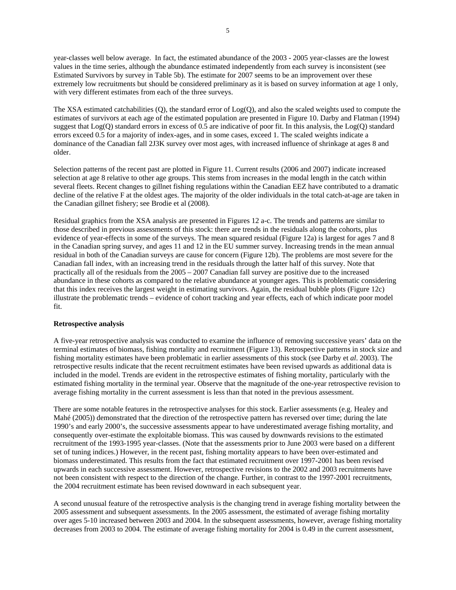year-classes well below average. In fact, the estimated abundance of the 2003 - 2005 year-classes are the lowest values in the time series, although the abundance estimated independently from each survey is inconsistent (see Estimated Survivors by survey in Table 5b). The estimate for 2007 seems to be an improvement over these extremely low recruitments but should be considered preliminary as it is based on survey information at age 1 only, with very different estimates from each of the three surveys.

The XSA estimated catchabilities (Q), the standard error of Log(Q), and also the scaled weights used to compute the estimates of survivors at each age of the estimated population are presented in Figure 10. Darby and Flatman (1994) suggest that Log(Q) standard errors in excess of 0.5 are indicative of poor fit. In this analysis, the Log(Q) standard errors exceed 0.5 for a majority of index-ages, and in some cases, exceed 1. The scaled weights indicate a dominance of the Canadian fall 2J3K survey over most ages, with increased influence of shrinkage at ages 8 and older.

Selection patterns of the recent past are plotted in Figure 11. Current results (2006 and 2007) indicate increased selection at age 8 relative to other age groups. This stems from increases in the modal length in the catch within several fleets. Recent changes to gillnet fishing regulations within the Canadian EEZ have contributed to a dramatic decline of the relative F at the oldest ages. The majority of the older individuals in the total catch-at-age are taken in the Canadian gillnet fishery; see Brodie et al (2008).

Residual graphics from the XSA analysis are presented in Figures 12 a-c. The trends and patterns are similar to those described in previous assessments of this stock: there are trends in the residuals along the cohorts, plus evidence of year-effects in some of the surveys. The mean squared residual (Figure 12a) is largest for ages 7 and 8 in the Canadian spring survey, and ages 11 and 12 in the EU summer survey. Increasing trends in the mean annual residual in both of the Canadian surveys are cause for concern (Figure 12b). The problems are most severe for the Canadian fall index, with an increasing trend in the residuals through the latter half of this survey. Note that practically all of the residuals from the 2005 – 2007 Canadian fall survey are positive due to the increased abundance in these cohorts as compared to the relative abundance at younger ages. This is problematic considering that this index receives the largest weight in estimating survivors. Again, the residual bubble plots (Figure 12c) illustrate the problematic trends – evidence of cohort tracking and year effects, each of which indicate poor model fit.

### **Retrospective analysis**

A five-year retrospective analysis was conducted to examine the influence of removing successive years' data on the terminal estimates of biomass, fishing mortality and recruitment (Figure 13). Retrospective patterns in stock size and fishing mortality estimates have been problematic in earlier assessments of this stock (see Darby et *al*. 2003). The retrospective results indicate that the recent recruitment estimates have been revised upwards as additional data is included in the model. Trends are evident in the retrospective estimates of fishing mortality, particularly with the estimated fishing mortality in the terminal year. Observe that the magnitude of the one-year retrospective revision to average fishing mortality in the current assessment is less than that noted in the previous assessment.

There are some notable features in the retrospective analyses for this stock. Earlier assessments (e.g. Healey and Mahé (2005)) demonstrated that the direction of the retrospective pattern has reversed over time; during the late 1990's and early 2000's, the successive assessments appear to have underestimated average fishing mortality, and consequently over-estimate the exploitable biomass. This was caused by downwards revisions to the estimated recruitment of the 1993-1995 year-classes. (Note that the assessments prior to June 2003 were based on a different set of tuning indices.) However, in the recent past, fishing mortality appears to have been over-estimated and biomass underestimated. This results from the fact that estimated recruitment over 1997-2001 has been revised upwards in each successive assessment. However, retrospective revisions to the 2002 and 2003 recruitments have not been consistent with respect to the direction of the change. Further, in contrast to the 1997-2001 recruitments, the 2004 recruitment estimate has been revised downward in each subsequent year.

A second unusual feature of the retrospective analysis is the changing trend in average fishing mortality between the 2005 assessment and subsequent assessments. In the 2005 assessment, the estimated of average fishing mortality over ages 5-10 increased between 2003 and 2004. In the subsequent assessments, however, average fishing mortality decreases from 2003 to 2004. The estimate of average fishing mortality for 2004 is 0.49 in the current assessment,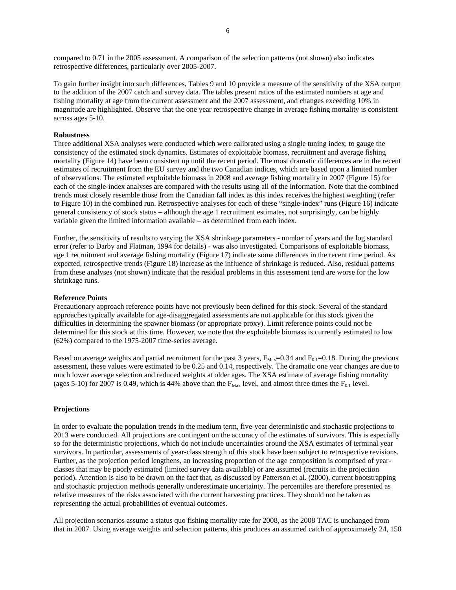compared to 0.71 in the 2005 assessment. A comparison of the selection patterns (not shown) also indicates retrospective differences, particularly over 2005-2007.

To gain further insight into such differences, Tables 9 and 10 provide a measure of the sensitivity of the XSA output to the addition of the 2007 catch and survey data. The tables present ratios of the estimated numbers at age and fishing mortality at age from the current assessment and the 2007 assessment, and changes exceeding 10% in magnitude are highlighted. Observe that the one year retrospective change in average fishing mortality is consistent across ages 5-10.

# **Robustness**

Three additional XSA analyses were conducted which were calibrated using a single tuning index, to gauge the consistency of the estimated stock dynamics. Estimates of exploitable biomass, recruitment and average fishing mortality (Figure 14) have been consistent up until the recent period. The most dramatic differences are in the recent estimates of recruitment from the EU survey and the two Canadian indices, which are based upon a limited number of observations. The estimated exploitable biomass in 2008 and average fishing mortality in 2007 (Figure 15) for each of the single-index analyses are compared with the results using all of the information. Note that the combined trends most closely resemble those from the Canadian fall index as this index receives the highest weighting (refer to Figure 10) in the combined run. Retrospective analyses for each of these "single-index" runs (Figure 16) indicate general consistency of stock status – although the age 1 recruitment estimates, not surprisingly, can be highly variable given the limited information available – as determined from each index.

Further, the sensitivity of results to varying the XSA shrinkage parameters - number of years and the log standard error (refer to Darby and Flatman, 1994 for details) - was also investigated. Comparisons of exploitable biomass, age 1 recruitment and average fishing mortality (Figure 17) indicate some differences in the recent time period. As expected, retrospective trends (Figure 18) increase as the influence of shrinkage is reduced. Also, residual patterns from these analyses (not shown) indicate that the residual problems in this assessment tend are worse for the low shrinkage runs.

### **Reference Points**

Precautionary approach reference points have not previously been defined for this stock. Several of the standard approaches typically available for age-disaggregated assessments are not applicable for this stock given the difficulties in determining the spawner biomass (or appropriate proxy). Limit reference points could not be determined for this stock at this time. However, we note that the exploitable biomass is currently estimated to low (62%) compared to the 1975-2007 time-series average.

Based on average weights and partial recruitment for the past 3 years,  $F_{\text{Max}}=0.34$  and  $F_{0.1}=0.18$ . During the previous assessment, these values were estimated to be 0.25 and 0.14, respectively. The dramatic one year changes are due to much lower average selection and reduced weights at older ages. The XSA estimate of average fishing mortality (ages 5-10) for 2007 is 0.49, which is 44% above than the  $F_{\text{Max}}$  level, and almost three times the  $F_{0.1}$  level.

# **Projections**

In order to evaluate the population trends in the medium term, five-year deterministic and stochastic projections to 2013 were conducted. All projections are contingent on the accuracy of the estimates of survivors. This is especially so for the deterministic projections, which do not include uncertainties around the XSA estimates of terminal year survivors. In particular, assessments of year-class strength of this stock have been subject to retrospective revisions. Further, as the projection period lengthens, an increasing proportion of the age composition is comprised of yearclasses that may be poorly estimated (limited survey data available) or are assumed (recruits in the projection period). Attention is also to be drawn on the fact that, as discussed by Patterson et al. (2000), current bootstrapping and stochastic projection methods generally underestimate uncertainty. The percentiles are therefore presented as relative measures of the risks associated with the current harvesting practices. They should not be taken as representing the actual probabilities of eventual outcomes.

All projection scenarios assume a status quo fishing mortality rate for 2008, as the 2008 TAC is unchanged from that in 2007. Using average weights and selection patterns, this produces an assumed catch of approximately 24, 150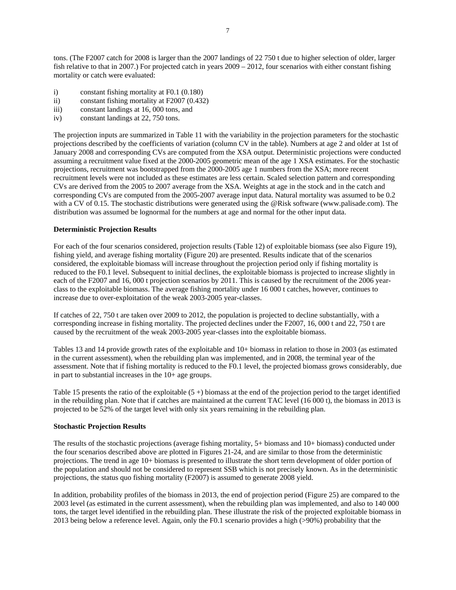tons. (The F2007 catch for 2008 is larger than the 2007 landings of 22 750 t due to higher selection of older, larger fish relative to that in 2007.) For projected catch in years 2009 – 2012, four scenarios with either constant fishing mortality or catch were evaluated:

- i) constant fishing mortality at F0.1 (0.180)
- ii) constant fishing mortality at F2007 (0.432)
- iii) constant landings at 16, 000 tons, and
- iv) constant landings at 22, 750 tons.

The projection inputs are summarized in Table 11 with the variability in the projection parameters for the stochastic projections described by the coefficients of variation (column CV in the table). Numbers at age 2 and older at 1st of January 2008 and corresponding CVs are computed from the XSA output. Deterministic projections were conducted assuming a recruitment value fixed at the 2000-2005 geometric mean of the age 1 XSA estimates. For the stochastic projections, recruitment was bootstrapped from the 2000-2005 age 1 numbers from the XSA; more recent recruitment levels were not included as these estimates are less certain. Scaled selection pattern and corresponding CVs are derived from the 2005 to 2007 average from the XSA. Weights at age in the stock and in the catch and corresponding CVs are computed from the 2005-2007 average input data. Natural mortality was assumed to be 0.2 with a CV of 0.15. The stochastic distributions were generated using the @Risk software (www.palisade.com). The distribution was assumed be lognormal for the numbers at age and normal for the other input data.

# **Deterministic Projection Results**

For each of the four scenarios considered, projection results (Table 12) of exploitable biomass (see also Figure 19), fishing yield, and average fishing mortality (Figure 20) are presented. Results indicate that of the scenarios considered, the exploitable biomass will increase throughout the projection period only if fishing mortality is reduced to the F0.1 level. Subsequent to initial declines, the exploitable biomass is projected to increase slightly in each of the F2007 and 16, 000 t projection scenarios by 2011. This is caused by the recruitment of the 2006 yearclass to the exploitable biomass. The average fishing mortality under 16 000 t catches, however, continues to increase due to over-exploitation of the weak 2003-2005 year-classes.

If catches of 22, 750 t are taken over 2009 to 2012, the population is projected to decline substantially, with a corresponding increase in fishing mortality. The projected declines under the F2007, 16, 000 t and 22, 750 t are caused by the recruitment of the weak 2003-2005 year-classes into the exploitable biomass.

Tables 13 and 14 provide growth rates of the exploitable and 10+ biomass in relation to those in 2003 (as estimated in the current assessment), when the rebuilding plan was implemented, and in 2008, the terminal year of the assessment. Note that if fishing mortality is reduced to the F0.1 level, the projected biomass grows considerably, due in part to substantial increases in the 10+ age groups.

Table 15 presents the ratio of the exploitable  $(5 +)$  biomass at the end of the projection period to the target identified in the rebuilding plan. Note that if catches are maintained at the current TAC level (16 000 t), the biomass in 2013 is projected to be 52% of the target level with only six years remaining in the rebuilding plan.

### **Stochastic Projection Results**

The results of the stochastic projections (average fishing mortality, 5+ biomass and 10+ biomass) conducted under the four scenarios described above are plotted in Figures 21-24, and are similar to those from the deterministic projections. The trend in age 10+ biomass is presented to illustrate the short term development of older portion of the population and should not be considered to represent SSB which is not precisely known. As in the deterministic projections, the status quo fishing mortality (F2007) is assumed to generate 2008 yield.

In addition, probability profiles of the biomass in 2013, the end of projection period (Figure 25) are compared to the 2003 level (as estimated in the current assessment), when the rebuilding plan was implemented, and also to 140 000 tons, the target level identified in the rebuilding plan. These illustrate the risk of the projected exploitable biomass in 2013 being below a reference level. Again, only the F0.1 scenario provides a high (>90%) probability that the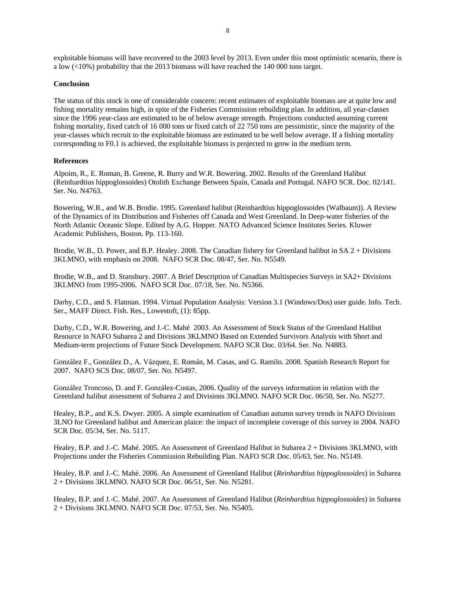exploitable biomass will have recovered to the 2003 level by 2013. Even under this most optimistic scenario, there is a low (<10%) probability that the 2013 biomass will have reached the 140 000 tons target.

### **Conclusion**

The status of this stock is one of considerable concern: recent estimates of exploitable biomass are at quite low and fishing mortality remains high, in spite of the Fisheries Commission rebuilding plan. In addition, all year-classes since the 1996 year-class are estimated to be of below average strength. Projections conducted assuming current fishing mortality, fixed catch of 16 000 tons or fixed catch of 22 750 tons are pessimistic, since the majority of the year-classes which recruit to the exploitable biomass are estimated to be well below average. If a fishing mortality corresponding to F0.1 is achieved, the exploitable biomass is projected to grow in the medium term.

#### **References**

Alpoim, R., E. Roman, B. Greene, R. Burry and W.R. Bowering. 2002. Results of the Greenland Halibut (Reinhardtius hippoglossoides) Otolith Exchange Between Spain, Canada and Portugal. NAFO SCR. Doc. 02/141. Ser. No. N4763.

Bowering, W.R., and W.B. Brodie. 1995. Greenland halibut (Reinhardtius hippoglossoides (Walbaum)). A Review of the Dynamics of its Distribution and Fisheries off Canada and West Greenland. In Deep-water fisheries of the North Atlantic Oceanic Slope. Edited by A.G. Hopper. NATO Advanced Science Institutes Series. Kluwer Academic Publishers, Boston. Pp. 113-160.

Brodie, W.B., D. Power, and B.P. Healey. 2008. The Canadian fishery for Greenland halibut in SA 2 + Divisions 3KLMNO, with emphasis on 2008. NAFO SCR Doc. 08/47, Ser. No. N5549.

Brodie, W.B., and D. Stansbury. 2007. A Brief Description of Canadian Multispecies Surveys in SA2+ Divisions 3KLMNO from 1995-2006. NAFO SCR Doc. 07/18, Ser. No. N5366.

Darby, C.D., and S. Flatman. 1994. Virtual Population Analysis: Version 3.1 (Windows/Dos) user guide. Info. Tech. Ser., MAFF Direct. Fish. Res., Lowestoft, (1): 85pp.

Darby, C.D., W.R. Bowering, and J.-C. Mahé 2003. An Assessment of Stock Status of the Greenland Halibut Resource in NAFO Subarea 2 and Divisions 3KLMNO Based on Extended Survivors Analysis with Short and Medium-term projections of Future Stock Development. NAFO SCR Doc. 03/64. Ser. No. N4883.

González F., González D., A. Vázquez, E. Román, M. Casas, and G. Ramilo. 2008. Spanish Research Report for 2007. NAFO SCS Doc. 08/07, Ser. No. N5497.

González Troncoso, D. and F. González-Costas, 2006. Quality of the surveys information in relation with the Greenland halibut assessment of Subarea 2 and Divisions 3KLMNO. NAFO SCR Doc. 06/50, Ser. No. N5277.

Healey, B.P., and K.S. Dwyer. 2005. A simple examination of Canadian autumn survey trends in NAFO Divisions 3LNO for Greenland halibut and American plaice: the impact of incomplete coverage of this survey in 2004. NAFO SCR Doc. 05/34, Ser. No. 5117.

Healey, B.P. and J.-C. Mahé. 2005. An Assessment of Greenland Halibut in Subarea 2 + Divisions 3KLMNO, with Projections under the Fisheries Commission Rebuilding Plan. NAFO SCR Doc. 05/63, Ser. No. N5149.

Healey, B.P. and J.-C. Mahé. 2006. An Assessment of Greenland Halibut (*Reinhardtius hippoglossoides*) in Subarea 2 + Divisions 3KLMNO. NAFO SCR Doc. 06/51, Ser. No. N5281.

Healey, B.P. and J.-C. Mahé. 2007. An Assessment of Greenland Halibut (*Reinhardtius hippoglossoides*) in Subarea 2 + Divisions 3KLMNO. NAFO SCR Doc. 07/53, Ser. No. N5405.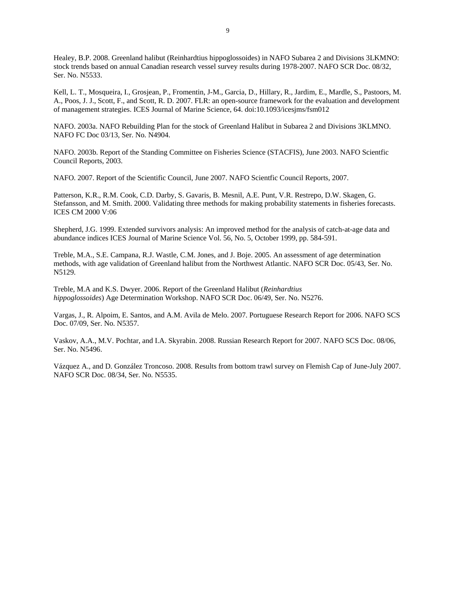Healey, B.P. 2008. Greenland halibut (Reinhardtius hippoglossoides) in NAFO Subarea 2 and Divisions 3LKMNO: stock trends based on annual Canadian research vessel survey results during 1978-2007. NAFO SCR Doc. 08/32, Ser. No. N5533.

Kell, L. T., Mosqueira, I., Grosjean, P., Fromentin, J-M., Garcia, D., Hillary, R., Jardim, E., Mardle, S., Pastoors, M. A., Poos, J. J., Scott, F., and Scott, R. D. 2007. FLR: an open-source framework for the evaluation and development of management strategies. ICES Journal of Marine Science, 64. doi:10.1093/icesjms/fsm012

NAFO. 2003a. NAFO Rebuilding Plan for the stock of Greenland Halibut in Subarea 2 and Divisions 3KLMNO. NAFO FC Doc 03/13, Ser. No. N4904.

NAFO. 2003b. Report of the Standing Committee on Fisheries Science (STACFIS), June 2003. NAFO Scientfic Council Reports, 2003.

NAFO. 2007. Report of the Scientific Council, June 2007. NAFO Scientfic Council Reports, 2007.

Patterson, K.R., R.M. Cook, C.D. Darby, S. Gavaris, B. Mesnil, A.E. Punt, V.R. Restrepo, D.W. Skagen, G. Stefansson, and M. Smith. 2000. Validating three methods for making probability statements in fisheries forecasts. ICES CM 2000 V:06

Shepherd, J.G. 1999. Extended survivors analysis: An improved method for the analysis of catch-at-age data and abundance indices ICES Journal of Marine Science Vol. 56, No. 5, October 1999, pp. 584-591.

Treble, M.A., S.E. Campana, R.J. Wastle, C.M. Jones, and J. Boje. 2005. An assessment of age determination methods, with age validation of Greenland halibut from the Northwest Atlantic. NAFO SCR Doc. 05/43, Ser. No. N5129.

Treble, M.A and K.S. Dwyer. 2006. Report of the Greenland Halibut (*Reinhardtius hippoglossoides*) Age Determination Workshop. NAFO SCR Doc. 06/49, Ser. No. N5276.

Vargas, J., R. Alpoim, E. Santos, and A.M. Avila de Melo. 2007. Portuguese Research Report for 2006. NAFO SCS Doc. 07/09, Ser. No. N5357.

Vaskov, A.A., M.V. Pochtar, and I.A. Skyrabin. 2008. Russian Research Report for 2007. NAFO SCS Doc. 08/06, Ser. No. N5496.

Vázquez A., and D. González Troncoso. 2008. Results from bottom trawl survey on Flemish Cap of June-July 2007. NAFO SCR Doc. 08/34, Ser. No. N5535.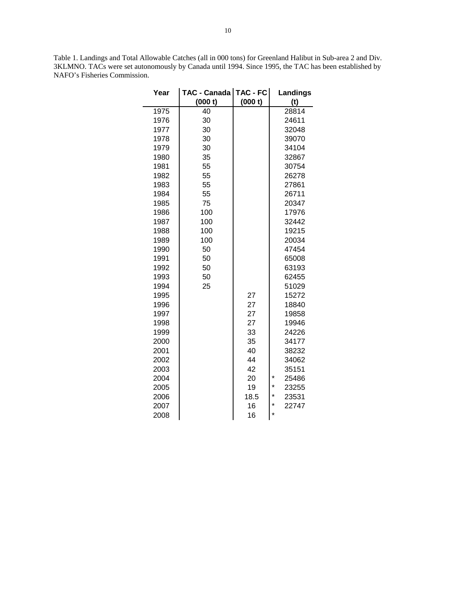Table 1. Landings and Total Allowable Catches (all in 000 tons) for Greenland Halibut in Sub-area 2 and Div. 3KLMNO. TACs were set autonomously by Canada until 1994. Since 1995, the TAC has been established by NAFO's Fisheries Commission.

| Year | TAC - Canada   TAC - FC  <br>(000 t) | (000 t) | Landings<br>(t)   |
|------|--------------------------------------|---------|-------------------|
| 1975 | 40                                   |         | 28814             |
| 1976 | 30                                   |         | 24611             |
| 1977 | 30                                   |         | 32048             |
| 1978 | 30                                   |         | 39070             |
| 1979 | 30                                   |         | 34104             |
| 1980 | 35                                   |         | 32867             |
| 1981 | 55                                   |         | 30754             |
| 1982 | 55                                   |         | 26278             |
| 1983 | 55                                   |         | 27861             |
| 1984 | 55                                   |         | 26711             |
| 1985 | 75                                   |         | 20347             |
| 1986 | 100                                  |         | 17976             |
| 1987 | 100                                  |         | 32442             |
| 1988 | 100                                  |         | 19215             |
| 1989 | 100                                  |         | 20034             |
| 1990 | 50                                   |         | 47454             |
| 1991 | 50                                   |         | 65008             |
| 1992 | 50                                   |         | 63193             |
| 1993 | 50                                   |         | 62455             |
| 1994 | 25                                   |         | 51029             |
| 1995 |                                      | 27      | 15272             |
| 1996 |                                      | 27      | 18840             |
| 1997 |                                      | 27      | 19858             |
| 1998 |                                      | 27      | 19946             |
| 1999 |                                      | 33      | 24226             |
| 2000 |                                      | 35      | 34177             |
| 2001 |                                      | 40      | 38232             |
| 2002 |                                      | 44      | 34062             |
| 2003 |                                      | 42      | 35151             |
| 2004 |                                      | 20      | $\star$<br>25486  |
| 2005 |                                      | 19      | $^\star$<br>23255 |
| 2006 |                                      | 18.5    | $^\star$<br>23531 |
| 2007 |                                      | 16      | $\star$<br>22747  |
| 2008 |                                      | 16      | *                 |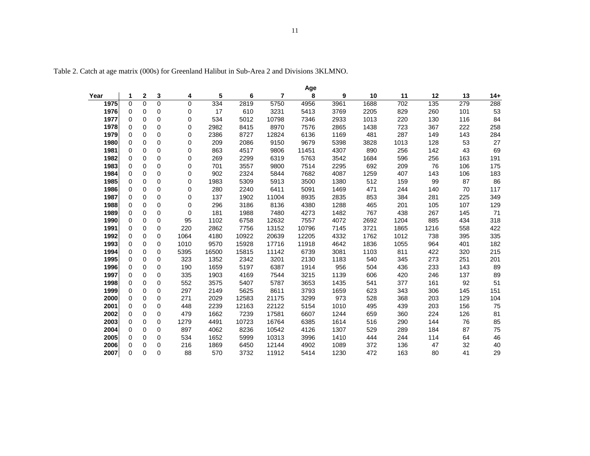| Age  |             |             |          |          |       |       |                |       |      |      |      |      |     |       |
|------|-------------|-------------|----------|----------|-------|-------|----------------|-------|------|------|------|------|-----|-------|
| Year | 1           | 2           | 3        | 4        | 5     | 6     | $\overline{7}$ | 8     | 9    | 10   | 11   | 12   | 13  | $14+$ |
| 1975 | 0           | $\Omega$    | 0        | 0        | 334   | 2819  | 5750           | 4956  | 3961 | 1688 | 702  | 135  | 279 | 288   |
| 1976 | 0           | 0           | 0        | 0        | 17    | 610   | 3231           | 5413  | 3769 | 2205 | 829  | 260  | 101 | 53    |
| 1977 | $\mathbf 0$ | $\mathbf 0$ | 0        | 0        | 534   | 5012  | 10798          | 7346  | 2933 | 1013 | 220  | 130  | 116 | 84    |
| 1978 | 0           | 0           | 0        | 0        | 2982  | 8415  | 8970           | 7576  | 2865 | 1438 | 723  | 367  | 222 | 258   |
| 1979 | $\Omega$    | 0           | 0        | 0        | 2386  | 8727  | 12824          | 6136  | 1169 | 481  | 287  | 149  | 143 | 284   |
| 1980 | $\Omega$    | $\mathbf 0$ | 0        | 0        | 209   | 2086  | 9150           | 9679  | 5398 | 3828 | 1013 | 128  | 53  | 27    |
| 1981 | $\mathbf 0$ | 0           | 0        | 0        | 863   | 4517  | 9806           | 11451 | 4307 | 890  | 256  | 142  | 43  | 69    |
| 1982 | $\Omega$    | 0           | 0        | 0        | 269   | 2299  | 6319           | 5763  | 3542 | 1684 | 596  | 256  | 163 | 191   |
| 1983 | $\Omega$    | 0           | 0        | 0        | 701   | 3557  | 9800           | 7514  | 2295 | 692  | 209  | 76   | 106 | 175   |
| 1984 | 0           | 0           | 0        | 0        | 902   | 2324  | 5844           | 7682  | 4087 | 1259 | 407  | 143  | 106 | 183   |
| 1985 | $\Omega$    | 0           | 0        | 0        | 1983  | 5309  | 5913           | 3500  | 1380 | 512  | 159  | 99   | 87  | 86    |
| 1986 | $\mathbf 0$ | 0           | 0        | 0        | 280   | 2240  | 6411           | 5091  | 1469 | 471  | 244  | 140  | 70  | 117   |
| 1987 | $\mathbf 0$ | $\mathbf 0$ | 0        | 0        | 137   | 1902  | 11004          | 8935  | 2835 | 853  | 384  | 281  | 225 | 349   |
| 1988 | $\mathbf 0$ | 0           | 0        | 0        | 296   | 3186  | 8136           | 4380  | 1288 | 465  | 201  | 105  | 107 | 129   |
| 1989 | $\Omega$    | 0           | 0        | $\Omega$ | 181   | 1988  | 7480           | 4273  | 1482 | 767  | 438  | 267  | 145 | 71    |
| 1990 | $\mathbf 0$ | 0           | 0        | 95       | 1102  | 6758  | 12632          | 7557  | 4072 | 2692 | 1204 | 885  | 434 | 318   |
| 1991 | $\mathbf 0$ | 0           | 0        | 220      | 2862  | 7756  | 13152          | 10796 | 7145 | 3721 | 1865 | 1216 | 558 | 422   |
| 1992 | $\mathbf 0$ | 0           | 0        | 1064     | 4180  | 10922 | 20639          | 12205 | 4332 | 1762 | 1012 | 738  | 395 | 335   |
| 1993 | $\mathbf 0$ | 0           | 0        | 1010     | 9570  | 15928 | 17716          | 11918 | 4642 | 1836 | 1055 | 964  | 401 | 182   |
| 1994 | $\mathbf 0$ | 0           | 0        | 5395     | 16500 | 15815 | 11142          | 6739  | 3081 | 1103 | 811  | 422  | 320 | 215   |
| 1995 | $\Omega$    | 0           | 0        | 323      | 1352  | 2342  | 3201           | 2130  | 1183 | 540  | 345  | 273  | 251 | 201   |
| 1996 | $\mathbf 0$ | 0           | 0        | 190      | 1659  | 5197  | 6387           | 1914  | 956  | 504  | 436  | 233  | 143 | 89    |
| 1997 | 0           | $\mathbf 0$ | 0        | 335      | 1903  | 4169  | 7544           | 3215  | 1139 | 606  | 420  | 246  | 137 | 89    |
| 1998 | $\Omega$    | 0           | 0        | 552      | 3575  | 5407  | 5787           | 3653  | 1435 | 541  | 377  | 161  | 92  | 51    |
| 1999 | $\Omega$    | $\mathbf 0$ | 0        | 297      | 2149  | 5625  | 8611           | 3793  | 1659 | 623  | 343  | 306  | 145 | 151   |
| 2000 | $\mathbf 0$ | $\mathbf 0$ | 0        | 271      | 2029  | 12583 | 21175          | 3299  | 973  | 528  | 368  | 203  | 129 | 104   |
| 2001 | $\mathbf 0$ | 0           | 0        | 448      | 2239  | 12163 | 22122          | 5154  | 1010 | 495  | 439  | 203  | 156 | 75    |
| 2002 | $\Omega$    | 0           | 0        | 479      | 1662  | 7239  | 17581          | 6607  | 1244 | 659  | 360  | 224  | 126 | 81    |
| 2003 | $\mathbf 0$ | 0           | 0        | 1279     | 4491  | 10723 | 16764          | 6385  | 1614 | 516  | 290  | 144  | 76  | 85    |
| 2004 | $\Omega$    | 0           | 0        | 897      | 4062  | 8236  | 10542          | 4126  | 1307 | 529  | 289  | 184  | 87  | 75    |
| 2005 | $\Omega$    | 0           | 0        | 534      | 1652  | 5999  | 10313          | 3996  | 1410 | 444  | 244  | 114  | 64  | 46    |
| 2006 | $\mathbf 0$ | 0           | 0        | 216      | 1869  | 6450  | 12144          | 4902  | 1089 | 372  | 136  | 47   | 32  | 40    |
| 2007 | $\Omega$    | $\Omega$    | $\Omega$ | 88       | 570   | 3732  | 11912          | 5414  | 1230 | 472  | 163  | 80   | 41  | 29    |

Table 2. Catch at age matrix (000s) for Greenland Halibut in Sub-Area 2 and Divisions 3KLMNO.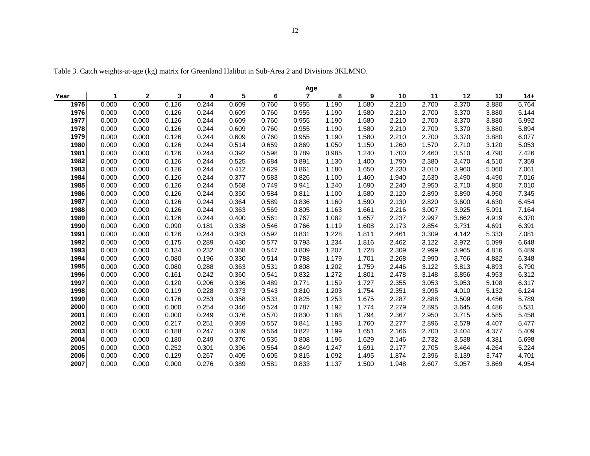|      |       |              |       |       |       |       | Age            |       |       |       |       |       |       |       |
|------|-------|--------------|-------|-------|-------|-------|----------------|-------|-------|-------|-------|-------|-------|-------|
| Year | 1     | $\mathbf{2}$ | 3     | 4     | 5     | 6     | $\overline{7}$ | 8     | 9     | 10    | 11    | 12    | 13    | $14+$ |
| 1975 | 0.000 | 0.000        | 0.126 | 0.244 | 0.609 | 0.760 | 0.955          | 1.190 | 1.580 | 2.210 | 2.700 | 3.370 | 3.880 | 5.764 |
| 1976 | 0.000 | 0.000        | 0.126 | 0.244 | 0.609 | 0.760 | 0.955          | 1.190 | 1.580 | 2.210 | 2.700 | 3.370 | 3.880 | 5.144 |
| 1977 | 0.000 | 0.000        | 0.126 | 0.244 | 0.609 | 0.760 | 0.955          | 1.190 | 1.580 | 2.210 | 2.700 | 3.370 | 3.880 | 5.992 |
| 1978 | 0.000 | 0.000        | 0.126 | 0.244 | 0.609 | 0.760 | 0.955          | 1.190 | 1.580 | 2.210 | 2.700 | 3.370 | 3.880 | 5.894 |
| 1979 | 0.000 | 0.000        | 0.126 | 0.244 | 0.609 | 0.760 | 0.955          | 1.190 | 1.580 | 2.210 | 2.700 | 3.370 | 3.880 | 6.077 |
| 1980 | 0.000 | 0.000        | 0.126 | 0.244 | 0.514 | 0.659 | 0.869          | 1.050 | 1.150 | 1.260 | 1.570 | 2.710 | 3.120 | 5.053 |
| 1981 | 0.000 | 0.000        | 0.126 | 0.244 | 0.392 | 0.598 | 0.789          | 0.985 | 1.240 | 1.700 | 2.460 | 3.510 | 4.790 | 7.426 |
| 1982 | 0.000 | 0.000        | 0.126 | 0.244 | 0.525 | 0.684 | 0.891          | 1.130 | 1.400 | 1.790 | 2.380 | 3.470 | 4.510 | 7.359 |
| 1983 | 0.000 | 0.000        | 0.126 | 0.244 | 0.412 | 0.629 | 0.861          | 1.180 | 1.650 | 2.230 | 3.010 | 3.960 | 5.060 | 7.061 |
| 1984 | 0.000 | 0.000        | 0.126 | 0.244 | 0.377 | 0.583 | 0.826          | 1.100 | 1.460 | 1.940 | 2.630 | 3.490 | 4.490 | 7.016 |
| 1985 | 0.000 | 0.000        | 0.126 | 0.244 | 0.568 | 0.749 | 0.941          | 1.240 | 1.690 | 2.240 | 2.950 | 3.710 | 4.850 | 7.010 |
| 1986 | 0.000 | 0.000        | 0.126 | 0.244 | 0.350 | 0.584 | 0.811          | 1.100 | 1.580 | 2.120 | 2.890 | 3.890 | 4.950 | 7.345 |
| 1987 | 0.000 | 0.000        | 0.126 | 0.244 | 0.364 | 0.589 | 0.836          | 1.160 | 1.590 | 2.130 | 2.820 | 3.600 | 4.630 | 6.454 |
| 1988 | 0.000 | 0.000        | 0.126 | 0.244 | 0.363 | 0.569 | 0.805          | 1.163 | 1.661 | 2.216 | 3.007 | 3.925 | 5.091 | 7.164 |
| 1989 | 0.000 | 0.000        | 0.126 | 0.244 | 0.400 | 0.561 | 0.767          | 1.082 | 1.657 | 2.237 | 2.997 | 3.862 | 4.919 | 6.370 |
| 1990 | 0.000 | 0.000        | 0.090 | 0.181 | 0.338 | 0.546 | 0.766          | 1.119 | 1.608 | 2.173 | 2.854 | 3.731 | 4.691 | 6.391 |
| 1991 | 0.000 | 0.000        | 0.126 | 0.244 | 0.383 | 0.592 | 0.831          | 1.228 | 1.811 | 2.461 | 3.309 | 4.142 | 5.333 | 7.081 |
| 1992 | 0.000 | 0.000        | 0.175 | 0.289 | 0.430 | 0.577 | 0.793          | 1.234 | 1.816 | 2.462 | 3.122 | 3.972 | 5.099 | 6.648 |
| 1993 | 0.000 | 0.000        | 0.134 | 0.232 | 0.368 | 0.547 | 0.809          | 1.207 | 1.728 | 2.309 | 2.999 | 3.965 | 4.816 | 6.489 |
| 1994 | 0.000 | 0.000        | 0.080 | 0.196 | 0.330 | 0.514 | 0.788          | 1.179 | 1.701 | 2.268 | 2.990 | 3.766 | 4.882 | 6.348 |
| 1995 | 0.000 | 0.000        | 0.080 | 0.288 | 0.363 | 0.531 | 0.808          | 1.202 | 1.759 | 2.446 | 3.122 | 3.813 | 4.893 | 6.790 |
| 1996 | 0.000 | 0.000        | 0.161 | 0.242 | 0.360 | 0.541 | 0.832          | 1.272 | 1.801 | 2.478 | 3.148 | 3.856 | 4.953 | 6.312 |
| 1997 | 0.000 | 0.000        | 0.120 | 0.206 | 0.336 | 0.489 | 0.771          | 1.159 | 1.727 | 2.355 | 3.053 | 3.953 | 5.108 | 6.317 |
| 1998 | 0.000 | 0.000        | 0.119 | 0.228 | 0.373 | 0.543 | 0.810          | 1.203 | 1.754 | 2.351 | 3.095 | 4.010 | 5.132 | 6.124 |
| 1999 | 0.000 | 0.000        | 0.176 | 0.253 | 0.358 | 0.533 | 0.825          | 1.253 | 1.675 | 2.287 | 2.888 | 3.509 | 4.456 | 5.789 |
| 2000 | 0.000 | 0.000        | 0.000 | 0.254 | 0.346 | 0.524 | 0.787          | 1.192 | 1.774 | 2.279 | 2.895 | 3.645 | 4.486 | 5.531 |
| 2001 | 0.000 | 0.000        | 0.000 | 0.249 | 0.376 | 0.570 | 0.830          | 1.168 | 1.794 | 2.367 | 2.950 | 3.715 | 4.585 | 5.458 |
| 2002 | 0.000 | 0.000        | 0.217 | 0.251 | 0.369 | 0.557 | 0.841          | 1.193 | 1.760 | 2.277 | 2.896 | 3.579 | 4.407 | 5.477 |
| 2003 | 0.000 | 0.000        | 0.188 | 0.247 | 0.389 | 0.564 | 0.822          | 1.199 | 1.651 | 2.166 | 2.700 | 3.404 | 4.377 | 5.409 |
| 2004 | 0.000 | 0.000        | 0.180 | 0.249 | 0.376 | 0.535 | 0.808          | 1.196 | 1.629 | 2.146 | 2.732 | 3.538 | 4.381 | 5.698 |
| 2005 | 0.000 | 0.000        | 0.252 | 0.301 | 0.396 | 0.564 | 0.849          | 1.247 | 1.691 | 2.177 | 2.705 | 3.464 | 4.264 | 5.224 |
| 2006 | 0.000 | 0.000        | 0.129 | 0.267 | 0.405 | 0.605 | 0.815          | 1.092 | 1.495 | 1.874 | 2.396 | 3.139 | 3.747 | 4.701 |
| 2007 | 0.000 | 0.000        | 0.000 | 0.276 | 0.389 | 0.581 | 0.833          | 1.137 | 1.500 | 1.948 | 2.607 | 3.057 | 3.869 | 4.954 |

Table 3. Catch weights-at-age (kg) matrix for Greenland Halibut in Sub-Area 2 and Divisions 3KLMNO.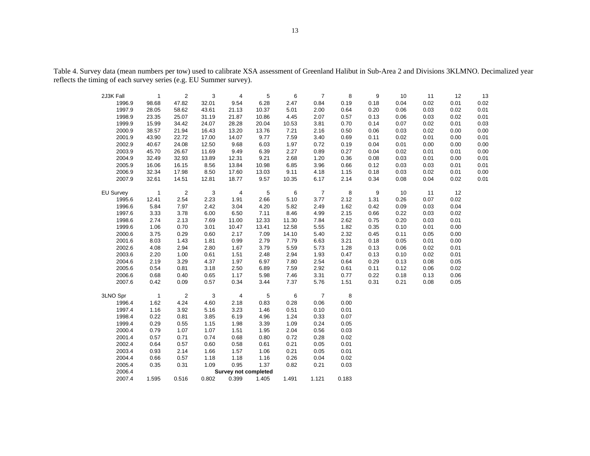|                     |                       |                         | 3            |                               | 5            | 6            | $\overline{7}$ | 8            | 9    | 10   |            |            |            |
|---------------------|-----------------------|-------------------------|--------------|-------------------------------|--------------|--------------|----------------|--------------|------|------|------------|------------|------------|
| 2J3K Fall<br>1996.9 | $\mathbf{1}$<br>98.68 | $\overline{2}$<br>47.82 | 32.01        | 4<br>9.54                     | 6.28         | 2.47         | 0.84           | 0.19         | 0.18 | 0.04 | 11<br>0.02 | 12<br>0.01 | 13<br>0.02 |
| 1997.9              | 28.05                 | 58.62                   | 43.61        | 21.13                         | 10.37        | 5.01         | 2.00           | 0.64         | 0.20 | 0.06 | 0.03       | 0.02       | 0.01       |
| 1998.9              | 23.35                 | 25.07                   | 31.19        | 21.87                         | 10.86        | 4.45         | 2.07           | 0.57         | 0.13 | 0.06 | 0.03       | 0.02       | 0.01       |
| 1999.9              | 15.99                 | 34.42                   | 24.07        | 28.28                         | 20.04        | 10.53        | 3.81           | 0.70         | 0.14 | 0.07 | 0.02       | 0.01       | 0.03       |
| 2000.9              | 38.57                 | 21.94                   | 16.43        | 13.20                         | 13.76        | 7.21         | 2.16           | 0.50         | 0.06 | 0.03 | 0.02       | 0.00       | 0.00       |
| 2001.9              | 43.90                 | 22.72                   | 17.00        | 14.07                         | 9.77         | 7.59         | 3.40           | 0.69         | 0.11 | 0.02 | 0.01       | 0.00       | 0.01       |
| 2002.9              | 40.67                 | 24.08                   | 12.50        | 9.68                          | 6.03         | 1.97         | 0.72           | 0.19         | 0.04 | 0.01 | 0.00       | 0.00       | 0.00       |
| 2003.9              | 45.70                 | 26.67                   | 11.69        | 9.49                          | 6.39         | 2.27         | 0.89           | 0.27         | 0.04 | 0.02 | 0.01       | 0.01       | 0.00       |
| 2004.9              |                       | 32.93                   |              |                               | 9.21         | 2.68         |                | 0.36         | 0.08 | 0.03 | 0.01       | 0.00       | 0.01       |
| 2005.9              | 32.49<br>16.06        | 16.15                   | 13.89        | 12.31<br>13.84                | 10.98        |              | 1.20           |              | 0.12 | 0.03 | 0.03       | 0.01       | 0.01       |
| 2006.9              | 32.34                 | 17.98                   | 8.56<br>8.50 | 17.60                         |              | 6.85<br>9.11 | 3.96<br>4.18   | 0.66         | 0.18 | 0.03 | 0.02       | 0.01       | 0.00       |
|                     |                       |                         |              |                               | 13.03        |              |                | 1.15         |      |      |            |            |            |
| 2007.9              | 32.61                 | 14.51                   | 12.81        | 18.77                         | 9.57         | 10.35        | 6.17           | 2.14         | 0.34 | 0.08 | 0.04       | 0.02       | 0.01       |
| <b>EU Survey</b>    | $\mathbf{1}$          | $\overline{2}$          | 3            | $\overline{4}$                | 5            | 6            | $\overline{7}$ | 8            | 9    | 10   | 11         | 12         |            |
| 1995.6              | 12.41                 | 2.54                    | 2.23         | 1.91                          | 2.66         | 5.10         | 3.77           | 2.12         | 1.31 | 0.26 | 0.07       | 0.02       |            |
| 1996.6              | 5.84                  | 7.97                    | 2.42         | 3.04                          | 4.20         | 5.82         | 2.49           | 1.62         | 0.42 | 0.09 | 0.03       | 0.04       |            |
| 1997.6              | 3.33                  | 3.78                    | 6.00         | 6.50                          | 7.11         | 8.46         | 4.99           | 2.15         | 0.66 | 0.22 | 0.03       | 0.02       |            |
| 1998.6              | 2.74                  | 2.13                    | 7.69         | 11.00                         | 12.33        | 11.30        | 7.84           | 2.62         | 0.75 | 0.20 | 0.03       | 0.01       |            |
| 1999.6              | 1.06                  | 0.70                    | 3.01         | 10.47                         | 13.41        | 12.58        | 5.55           | 1.82         | 0.35 | 0.10 | 0.01       | 0.00       |            |
| 2000.6              | 3.75                  | 0.29                    | 0.60         | 2.17                          | 7.09         | 14.10        | 5.40           | 2.32         | 0.45 | 0.11 | 0.05       | 0.00       |            |
| 2001.6              | 8.03                  | 1.43                    | 1.81         | 0.99                          | 2.79         | 7.79         | 6.63           | 3.21         | 0.18 | 0.05 | 0.01       | 0.00       |            |
| 2002.6              | 4.08                  | 2.94                    | 2.80         | 1.67                          | 3.79         | 5.59         | 5.73           | 1.28         | 0.13 | 0.06 | 0.02       | 0.01       |            |
| 2003.6              | 2.20                  | 1.00                    | 0.61         | 1.51                          | 2.48         | 2.94         | 1.93           | 0.47         | 0.13 | 0.10 | 0.02       | 0.01       |            |
| 2004.6              | 2.19                  | 3.29                    | 4.37         | 1.97                          | 6.97         | 7.80         | 2.54           | 0.64         | 0.29 | 0.13 | 0.08       | 0.05       |            |
| 2005.6              | 0.54                  | 0.81                    | 3.18         | 2.50                          | 6.89         | 7.59         | 2.92           | 0.61         | 0.11 | 0.12 | 0.06       | 0.02       |            |
| 2006.6              | 0.68                  | 0.40                    | 0.65         | 1.17                          | 5.98         | 7.46         | 3.31           | 0.77         | 0.22 | 0.18 | 0.13       | 0.06       |            |
| 2007.6              | 0.42                  | 0.09                    | 0.57         | 0.34                          | 3.44         | 7.37         | 5.76           | 1.51         | 0.31 | 0.21 | 0.08       | 0.05       |            |
|                     | $\overline{1}$        |                         |              |                               |              |              | $\overline{7}$ | 8            |      |      |            |            |            |
| 3LNO Spr<br>1996.4  | 1.62                  | $\overline{2}$<br>4.24  | 3<br>4.60    | $\overline{4}$<br>2.18        | 5<br>0.83    | 6<br>0.28    | 0.06           | 0.00         |      |      |            |            |            |
| 1997.4              | 1.16                  | 3.92                    | 5.16         | 3.23                          | 1.46         | 0.51         | 0.10           | 0.01         |      |      |            |            |            |
| 1998.4              | 0.22                  | 0.81                    | 3.85         | 6.19                          | 4.96         | 1.24         | 0.33           | 0.07         |      |      |            |            |            |
| 1999.4              | 0.29                  | 0.55                    | 1.15         | 1.98                          | 3.39         | 1.09         | 0.24           | 0.05         |      |      |            |            |            |
| 2000.4              | 0.79                  | 1.07                    | 1.07         | 1.51                          | 1.95         | 2.04         | 0.56           | 0.03         |      |      |            |            |            |
| 2001.4              | 0.57                  | 0.71                    | 0.74         | 0.68                          | 0.80         | 0.72         | 0.28           | 0.02         |      |      |            |            |            |
| 2002.4              | 0.64                  | 0.57                    | 0.60         | 0.58                          | 0.61         | 0.21         | 0.05           | 0.01         |      |      |            |            |            |
|                     |                       |                         |              |                               |              |              |                |              |      |      |            |            |            |
| 2003.4<br>2004.4    | 0.93<br>0.66          | 2.14<br>0.57            | 1.66<br>1.18 | 1.57<br>1.18                  | 1.06<br>1.16 | 0.21<br>0.26 | 0.05<br>0.04   | 0.01<br>0.02 |      |      |            |            |            |
| 2005.4              | 0.35                  | 0.31                    | 1.09         | 0.95                          | 1.37         | 0.82         | 0.21           |              |      |      |            |            |            |
| 2006.4              |                       |                         |              |                               |              |              |                | 0.03         |      |      |            |            |            |
| 2007.4              | 1.595                 | 0.516                   | 0.802        | Survey not completed<br>0.399 | 1.405        | 1.491        | 1.121          | 0.183        |      |      |            |            |            |
|                     |                       |                         |              |                               |              |              |                |              |      |      |            |            |            |

Table 4. Survey data (mean numbers per tow) used to calibrate XSA assessment of Greenland Halibut in Sub-Area 2 and Divisions 3KLMNO. Decimalized year reflects the timing of each survey series (e.g. EU Summer survey).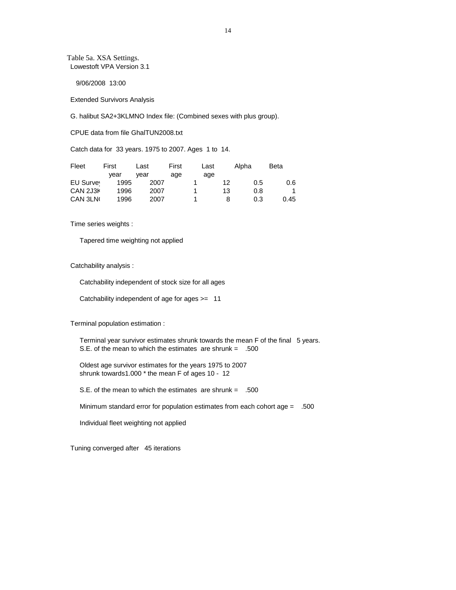Table 5a. XSA Settings. Lowestoft VPA Version 3.1

9/06/2008 13:00

Extended Survivors Analysis

G. halibut SA2+3KLMNO Index file: (Combined sexes with plus group).

CPUE data from file GhalTUN2008.txt

Catch data for 33 years. 1975 to 2007. Ages 1 to 14.

| Fleet     | First | Last | First | Last |    | Alpha | <b>Beta</b> |
|-----------|-------|------|-------|------|----|-------|-------------|
|           | vear  | vear | age   | age  |    |       |             |
| EU Survey | 1995  | 2007 |       |      | 12 | 0.5   | 0.6         |
| CAN 2J3K  | 1996  | 2007 |       |      | 13 | 0.8   |             |
| CAN 3LN   | 1996  | 2007 |       |      |    | 0.3   | 0.45        |

Time series weights :

Tapered time weighting not applied

Catchability analysis :

Catchability independent of stock size for all ages

Catchability independent of age for ages >= 11

Terminal population estimation :

Terminal year survivor estimates shrunk towards the mean F of the final 5 years. S.E. of the mean to which the estimates are shrunk = .500

 Oldest age survivor estimates for the years 1975 to 2007 shrunk towards1.000 \* the mean F of ages 10 - 12

S.E. of the mean to which the estimates are shrunk = .500

Minimum standard error for population estimates from each cohort age = .500

Individual fleet weighting not applied

Tuning converged after 45 iterations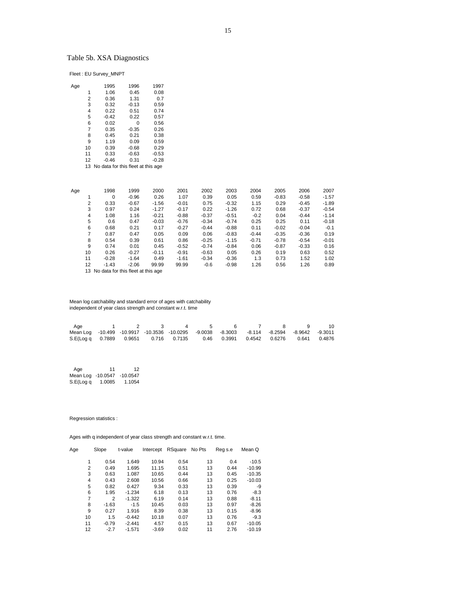# Table 5b. XSA Diagnostics

Fleet : EU Survey\_MNPT

| Aqe |                | 1995    | 1996                               | 1997    |
|-----|----------------|---------|------------------------------------|---------|
|     | 1              | 1.06    | 0.45                               | 0.08    |
|     | $\overline{2}$ | 0.36    | 1.31                               | 0.7     |
|     | 3              | 0.32    | $-0.13$                            | 0.59    |
|     | 4              | 0.22    | 0.51                               | 0.74    |
|     | 5              | $-0.42$ | 0.22                               | 0.57    |
|     | 6              | 0.02    | $\Omega$                           | 0.56    |
|     | $\overline{7}$ | 0.35    | $-0.35$                            | 0.26    |
|     | 8              | 0.45    | 0.21                               | 0.38    |
|     | 9              | 1.19    | 0.09                               | 0.59    |
|     | 10             | 0.39    | $-0.68$                            | 0.29    |
|     | 11             | 0.33    | $-0.63$                            | $-0.53$ |
|     | 12             | $-0.46$ | 0.31                               | $-0.28$ |
|     | 13             |         | No data for this fleet at this age |         |
|     |                |         |                                    |         |

| Age |    | 1998        | 1999               | 2000    | 2001    | 2002    | 2003    | 2004    | 2005    | 2006    | 2007    |
|-----|----|-------------|--------------------|---------|---------|---------|---------|---------|---------|---------|---------|
|     |    | $\mathbf 0$ | $-0.96$            | 0.26    | 1.07    | 0.39    | 0.05    | 0.59    | $-0.83$ | $-0.58$ | $-1.57$ |
|     | 2  | 0.33        | $-0.67$            | $-1.56$ | $-0.01$ | 0.75    | $-0.32$ | 1.15    | 0.29    | $-0.45$ | $-1.89$ |
|     | 3  | 0.97        | 0.24               | $-1.27$ | $-0.17$ | 0.22    | $-1.26$ | 0.72    | 0.68    | $-0.37$ | $-0.54$ |
|     | 4  | 1.08        | 1.16               | $-0.21$ | $-0.88$ | $-0.37$ | $-0.51$ | $-0.2$  | 0.04    | $-0.44$ | $-1.14$ |
|     | 5  | 0.6         | 0.47               | $-0.03$ | $-0.76$ | $-0.34$ | $-0.74$ | 0.25    | 0.25    | 0.11    | $-0.18$ |
|     | 6  | 0.68        | 0.21               | 0.17    | $-0.27$ | $-0.44$ | $-0.88$ | 0.11    | $-0.02$ | $-0.04$ | $-0.1$  |
|     | 7  | 0.87        | 0.47               | 0.05    | 0.09    | 0.06    | $-0.83$ | $-0.44$ | $-0.35$ | $-0.36$ | 0.19    |
|     | 8  | 0.54        | 0.39               | 0.61    | 0.86    | $-0.25$ | $-1.15$ | $-0.71$ | $-0.78$ | $-0.54$ | $-0.01$ |
|     | 9  | 0.74        | 0.01               | 0.45    | $-0.52$ | $-0.74$ | $-0.84$ | 0.06    | $-0.87$ | $-0.33$ | 0.16    |
|     | 10 | 0.26        | $-0.27$            | $-0.11$ | $-0.91$ | $-0.63$ | 0.05    | 0.26    | 0.19    | 0.63    | 0.52    |
|     | 11 | $-0.28$     | $-1.64$            | 0.49    | $-1.61$ | $-0.34$ | $-0.36$ | 1.3     | 0.73    | 1.52    | 1.02    |
|     | 12 | $-1.43$     | $-2.06$            | 99.99   | 99.99   | $-0.6$  | $-0.98$ | 1.26    | 0.56    | 1.26    | 0.89    |
|     | .  | .           | $\sim$ $\sim$<br>. |         |         |         |         |         |         |         |         |

13 No data for this fleet at this age

#### Mean log catchability and standard error of ages with catchability independent of year class strength and constant w.r.t. time

| Aae                                                                                        |  | 1 2 3 4 5 6 7 8 9 |  |  | - 10 |
|--------------------------------------------------------------------------------------------|--|-------------------|--|--|------|
| Mean Log -10.499 -10.9917 -10.3536 -10.0295 -9.0038 -8.3003 -8.114 -8.2594 -8.9642 -9.3011 |  |                   |  |  |      |
| S.E(Log q 0.7889 0.9651 0.716 0.7135 0.46 0.3991 0.4542 0.6276 0.641 0.4876                |  |                   |  |  |      |

| Age               | 11     | 12         |
|-------------------|--------|------------|
| Mean Log -10.0547 |        | $-10.0547$ |
| S.E(Log q         | 1.0085 | 1.1054     |

#### Regression statistics :

Ages with q independent of year class strength and constant w.r.t. time.

| Age | Slope          | t-value  | Intercept | RSquare | No Pts | Reg s.e | Mean Q   |
|-----|----------------|----------|-----------|---------|--------|---------|----------|
|     |                |          |           |         |        |         |          |
| 1   | 0.54           | 1.649    | 10.94     | 0.54    | 13     | 0.4     | $-10.5$  |
| 2   | 0.49           | 1.695    | 11.15     | 0.51    | 13     | 0.44    | $-10.99$ |
| 3   | 0.63           | 1.087    | 10.65     | 0.44    | 13     | 0.45    | $-10.35$ |
| 4   | 0.43           | 2.608    | 10.56     | 0.66    | 13     | 0.25    | $-10.03$ |
| 5   | 0.82           | 0.427    | 9.34      | 0.33    | 13     | 0.39    | -9       |
| 6   | 1.95           | $-1.234$ | 6.18      | 0.13    | 13     | 0.76    | $-8.3$   |
| 7   | $\overline{2}$ | $-1.322$ | 6.19      | 0.14    | 13     | 0.88    | $-8.11$  |
| 8   | $-1.63$        | $-1.5$   | 10.45     | 0.03    | 13     | 0.97    | $-8.26$  |
| 9   | 0.27           | 1.916    | 8.39      | 0.38    | 13     | 0.15    | $-8.96$  |
| 10  | 1.5            | $-0.442$ | 10.18     | 0.07    | 13     | 0.76    | $-9.3$   |
| 11  | $-0.79$        | $-2.441$ | 4.57      | 0.15    | 13     | 0.67    | $-10.05$ |
| 12  | $-2.7$         | $-1.571$ | $-3.69$   | 0.02    | 11     | 2.76    | $-10.19$ |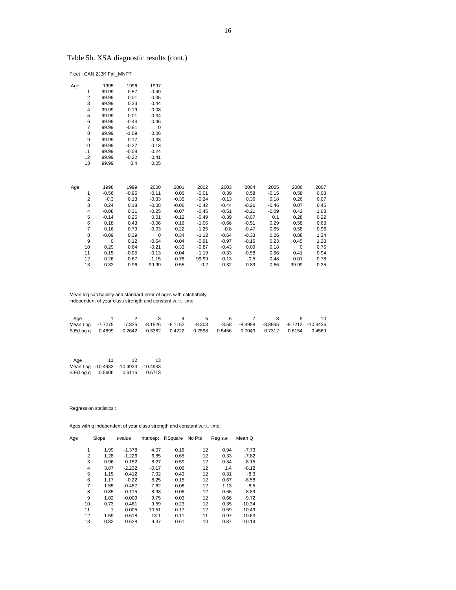# Table 5b. XSA diagnostic results (cont.)

Fleet : CAN 2J3K Fall\_MNPT

| Age |                | 1995        | 1996    | 1997        |         |         |         |         |         |             |      |
|-----|----------------|-------------|---------|-------------|---------|---------|---------|---------|---------|-------------|------|
|     | 1              | 99.99       | 0.57    | $-0.49$     |         |         |         |         |         |             |      |
|     | 2              | 99.99       | 0.01    | 0.35        |         |         |         |         |         |             |      |
|     | 3              | 99.99       | 0.33    | 0.44        |         |         |         |         |         |             |      |
|     | 4              | 99.99       | $-0.19$ | 0.08        |         |         |         |         |         |             |      |
|     | 5              | 99.99       | 0.01    | 0.34        |         |         |         |         |         |             |      |
|     | 6              | 99.99       | $-0.44$ | 0.46        |         |         |         |         |         |             |      |
|     | $\overline{7}$ | 99.99       | $-0.81$ | $\mathbf 0$ |         |         |         |         |         |             |      |
|     | 8              | 99.99       | $-1.09$ | 0.06        |         |         |         |         |         |             |      |
|     | 9              | 99.99       | 0.17    | 0.38        |         |         |         |         |         |             |      |
|     | 10             | 99.99       | $-0.27$ | 0.13        |         |         |         |         |         |             |      |
|     | 11             | 99.99       | $-0.08$ | 0.24        |         |         |         |         |         |             |      |
|     | 12             | 99.99       | $-0.22$ | 0.41        |         |         |         |         |         |             |      |
|     | 13             | 99.99       | 0.4     | 0.05        |         |         |         |         |         |             |      |
|     |                |             |         |             |         |         |         |         |         |             |      |
|     |                |             |         |             |         |         |         |         |         |             |      |
| Age |                | 1998        | 1999    | 2000        | 2001    | 2002    | 2003    | 2004    | 2005    | 2006        | 2007 |
|     | 1              | $-0.56$     | $-0.95$ | $-0.11$     | 0.06    | $-0.01$ | 0.39    | 0.58    | $-0.15$ | 0.58        | 0.08 |
|     | 2              | $-0.3$      | 0.13    | $-0.33$     | $-0.35$ | $-0.24$ | $-0.13$ | 0.36    | 0.18    | 0.26        | 0.07 |
|     | 3              | 0.24        | 0.18    | $-0.08$     | $-0.06$ | $-0.42$ | $-0.44$ | $-0.26$ | $-0.46$ | 0.07        | 0.45 |
|     | 4              | $-0.08$     | 0.31    | $-0.25$     | $-0.07$ | $-0.45$ | $-0.51$ | $-0.21$ | $-0.09$ | 0.42        | 1.03 |
|     | 5              | $-0.14$     | 0.25    | 0.01        | $-0.12$ | $-0.49$ | $-0.39$ | $-0.07$ | 0.1     | 0.28        | 0.22 |
|     | 6              | 0.18        | 0.43    | $-0.06$     | 0.16    | $-1.06$ | $-0.66$ | $-0.51$ | 0.29    | 0.58        | 0.63 |
|     | $\overline{7}$ | 0.16        | 0.79    | $-0.03$     | 0.22    | $-1.25$ | $-0.8$  | $-0.47$ | 0.65    | 0.58        | 0.96 |
|     | 8              | $-0.09$     | 0.39    | $\mathbf 0$ | 0.34    | $-1.12$ | $-0.64$ | $-0.33$ | 0.26    | 0.88        | 1.34 |
|     | 9              | $\mathbf 0$ | 0.12    | $-0.54$     | $-0.04$ | $-0.91$ | $-0.97$ | $-0.16$ | 0.23    | 0.45        | 1.28 |
|     | 10             | 0.29        | 0.64    | $-0.21$     | $-0.33$ | $-0.87$ | $-0.43$ | 0.09    | 0.18    | $\mathbf 0$ | 0.76 |
|     | 11             | 0.15        | $-0.05$ | $-0.13$     | $-0.04$ | $-1.19$ | $-0.33$ | $-0.58$ | 0.66    | 0.41        | 0.94 |
|     | 12             | 0.26        | $-0.67$ | $-1.15$     | $-0.76$ | 99.99   | $-0.13$ | $-0.5$  | 0.48    | 0.01        | 0.78 |
|     | 13             | 0.32        | 0.96    | 99.99       | 0.55    | $-0.2$  | $-0.32$ | 0.89    | 0.66    | 99.99       | 0.25 |

 Mean log catchability and standard error of ages with catchability independent of year class strength and constant w.r.t. time

| Age                                                                                   |  | 1 2 3 4 5 |  | 6789 | - 10 |
|---------------------------------------------------------------------------------------|--|-----------|--|------|------|
| Mean Log -7.7275 -7.825 -8.1526 -8.1152 -8.303 -8.58 -8.4988 -8.8935 -9.7212 -10.3436 |  |           |  |      |      |
| S.E(Log q 0.4899 0.2642 0.3382 0.4222 0.2598 0.5456 0.7043 0.7312 0.6154 0.4569       |  |           |  |      |      |

| Age                                 | 11     | 12     | 13     |
|-------------------------------------|--------|--------|--------|
| Mean Log -10.4933 -10.4933 -10.4933 |        |        |        |
| S.E(Log q                           | 0.5606 | 0.6115 | 0.5713 |

Regression statistics :

Ages with q independent of year class strength and constant w.r.t. time.

| Age |    | Slope | t-value  | Intercept | RSquare | No Pts | Reg s.e | Mean Q   |
|-----|----|-------|----------|-----------|---------|--------|---------|----------|
|     | 1  | 1.99  | $-1.378$ | 4.07      | 0.16    | 12     | 0.94    | $-7.73$  |
|     | 2  | 1.28  | $-1.226$ | 6.85      | 0.65    | 12     | 0.33    | $-7.82$  |
|     | 3  | 0.96  | 0.152    | 8.27      | 0.59    | 12     | 0.34    | $-8.15$  |
|     | 4  | 3.87  | $-2.232$ | $-0.17$   | 0.06    | 12     | 1.4     | $-8.12$  |
|     | 5  | 1.15  | $-0.412$ | 7.92      | 0.43    | 12     | 0.31    | $-8.3$   |
|     | 6  | 1.17  | $-0.22$  | 8.25      | 0.15    | 12     | 0.67    | $-8.58$  |
|     | 7  | 1.55  | $-0.457$ | 7.62      | 0.06    | 12     | 1.13    | $-8.5$   |
|     | 8  | 0.85  | 0.115    | 8.93      | 0.06    | 12     | 0.65    | $-8.89$  |
|     | 9  | 1.02  | $-0.009$ | 9.75      | 0.03    | 12     | 0.66    | $-9.72$  |
|     | 10 | 0.73  | 0.461    | 9.59      | 0.23    | 12     | 0.35    | $-10.34$ |
|     | 11 | 1     | $-0.005$ | 10.51     | 0.17    | 12     | 0.59    | $-10.49$ |
|     | 12 | 1.59  | $-0.618$ | 13.1      | 0.11    | 11     | 0.97    | $-10.63$ |
|     | 13 | 0.82  | 0.628    | 9.37      | 0.61    | 10     | 0.37    | $-10.14$ |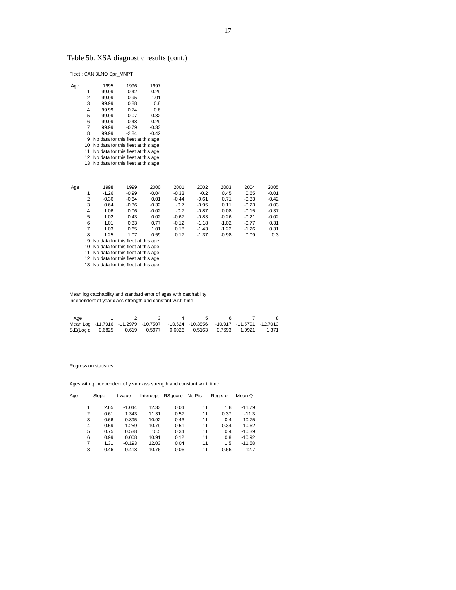# Table 5b. XSA diagnostic results (cont.)

Fleet : CAN 3LNO Spr\_MNPT

| <b>s</b> |                | 1995                                  | 1996    | 1997    |
|----------|----------------|---------------------------------------|---------|---------|
|          | 1              | 99.99                                 | 0.42    | 0.29    |
|          | 2              | 99.99                                 | 0.95    | 1.01    |
|          | 3              | 99.99                                 | 0.88    | 0.8     |
|          | 4              | 99.99                                 | 0.74    | 0.6     |
|          | 5              | 99.99                                 | $-0.07$ | 0.32    |
|          | 6              | 99.99                                 | $-0.48$ | 0.29    |
|          | $\overline{7}$ | 99.99                                 | $-0.79$ | $-0.33$ |
|          | 8              | 99.99                                 | $-2.84$ | $-0.42$ |
|          | 9              | No data for this fleet at this age    |         |         |
|          | 10             | No data for this fleet at this age    |         |         |
|          | 11             | No data for this fleet at this age    |         |         |
|          |                | 12 No data for this fleet at this age |         |         |
|          | 13             | No data for this fleet at this age    |         |         |
|          |                |                                       |         |         |

| Age |   | 1998                                  | 1999    | 2000    | 2001    | 2002    | 2003    | 2004    | 2005    |  |  |
|-----|---|---------------------------------------|---------|---------|---------|---------|---------|---------|---------|--|--|
|     | 1 | $-1.26$                               | $-0.99$ | $-0.04$ | $-0.33$ | $-0.2$  | 0.45    | 0.65    | $-0.01$ |  |  |
|     | 2 | $-0.36$                               | $-0.64$ | 0.01    | $-0.44$ | $-0.61$ | 0.71    | $-0.33$ | $-0.42$ |  |  |
|     | 3 | 0.64                                  | $-0.36$ | $-0.32$ | $-0.7$  | $-0.95$ | 0.11    | $-0.23$ | $-0.03$ |  |  |
|     | 4 | 1.06                                  | 0.06    | $-0.02$ | $-0.7$  | $-0.87$ | 0.08    | $-0.15$ | $-0.37$ |  |  |
|     | 5 | 1.02                                  | 0.43    | 0.02    | $-0.67$ | $-0.83$ | $-0.26$ | $-0.21$ | $-0.02$ |  |  |
|     | 6 | 1.01                                  | 0.33    | 0.77    | $-0.12$ | $-1.18$ | $-1.02$ | $-0.77$ | 0.31    |  |  |
|     | 7 | 1.03                                  | 0.65    | 1.01    | 0.18    | $-1.43$ | $-1.22$ | $-1.26$ | 0.31    |  |  |
|     | 8 | 1.25                                  | 1.07    | 0.59    | 0.17    | $-1.37$ | $-0.98$ | 0.09    | 0.3     |  |  |
|     |   | 9 No data for this fleet at this age  |         |         |         |         |         |         |         |  |  |
|     |   | 10 No data for this fleet at this age |         |         |         |         |         |         |         |  |  |
|     |   | 11 No data for this fleet at this age |         |         |         |         |         |         |         |  |  |
|     |   | 12 No data for this fleet at this age |         |         |         |         |         |         |         |  |  |

13 No data for this fleet at this age

Mean log catchability and standard error of ages with catchability independent of year class strength and constant w.r.t. time

| Aae                                                                            |  |  |  |  |
|--------------------------------------------------------------------------------|--|--|--|--|
| Mean Log -11.7916 -11.2979 -10.7507 -10.624 -10.3856 -10.917 -11.5791 -12.7013 |  |  |  |  |
| S.E(Log q 0.6825 0.619 0.5977 0.6026 0.5163 0.7693 1.0921 1.371                |  |  |  |  |

Regression statistics :

Ages with q independent of year class strength and constant w.r.t. time.

| Age |   | Slope | t-value  | Intercept | RSquare | No Pts | Reg s.e | Mean Q   |
|-----|---|-------|----------|-----------|---------|--------|---------|----------|
|     | 1 | 2.65  | $-1.044$ | 12.33     | 0.04    | 11     | 1.8     | $-11.79$ |
|     | 2 | 0.61  | 1.343    | 11.31     | 0.57    | 11     | 0.37    | $-11.3$  |
|     | 3 | 0.66  | 0.895    | 10.92     | 0.43    | 11     | 0.4     | $-10.75$ |
|     | 4 | 0.59  | 1.259    | 10.79     | 0.51    | 11     | 0.34    | $-10.62$ |
|     | 5 | 0.75  | 0.538    | 10.5      | 0.34    | 11     | 0.4     | $-10.39$ |
|     | 6 | 0.99  | 0.008    | 10.91     | 0.12    | 11     | 0.8     | $-10.92$ |
|     | 7 | 1.31  | $-0.193$ | 12.03     | 0.04    | 11     | 1.5     | $-11.58$ |
|     | 8 | 0.46  | 0.418    | 10.76     | 0.06    | 11     | 0.66    | $-12.7$  |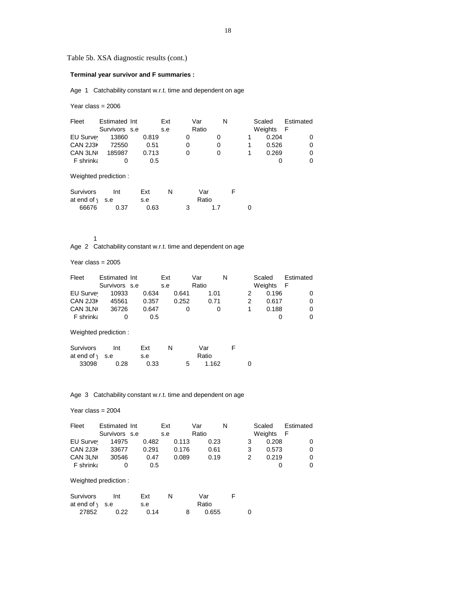Table 5b. XSA diagnostic results (cont.)

# **Terminal year survivor and F summaries :**

Age 1 Catchability constant w.r.t. time and dependent on age

Year class = 2006

| Fleet                | Estimated Int<br>Survivors s.e |       | Ext<br>s.e |   | Var<br>Ratio | N |   | Scaled<br>Weights | Estimated<br>$-F$ |
|----------------------|--------------------------------|-------|------------|---|--------------|---|---|-------------------|-------------------|
| EU Survey            | 13860                          | 0.819 |            | 0 |              | 0 | 1 | 0.204             | 0                 |
| CAN 2J3K             | 72550                          | 0.51  |            | 0 |              | 0 | 1 | 0.526             | 0                 |
| CAN 3LN              | 185987                         | 0.713 |            | 0 |              | 0 |   | 0.269             | 0                 |
| F shrinka            | 0                              | 0.5   |            |   |              |   |   | 0                 | 0                 |
|                      | Weighted prediction:           |       |            |   |              |   |   |                   |                   |
| <b>Survivors</b>     | Int                            | Ext   | N          |   | Var          |   | F |                   |                   |
| at end of $\sqrt{ }$ | s.e                            | s.e   |            |   | Ratio        |   |   |                   |                   |
| 66676                | 0.37                           | 0.63  |            | 3 | 1.7          |   | 0 |                   |                   |

1

Age 2 Catchability constant w.r.t. time and dependent on age

Year class = 2005

| Fleet                                    | Estimated Int<br>Survivors s.e |            | Ext<br>s.e |       | Var<br>Ratio | N |   | Scaled<br>Weights |       | Estimated<br>F |
|------------------------------------------|--------------------------------|------------|------------|-------|--------------|---|---|-------------------|-------|----------------|
| EU Survey                                | 10933                          | 0.634      |            | 0.641 | 1.01         |   | 2 |                   | 0.196 | 0              |
| CAN 2J3K                                 | 45561                          | 0.357      |            | 0.252 | 0.71         |   | 2 |                   | 0.617 | 0              |
| CAN 3LN                                  | 36726                          | 0.647      |            | 0     |              | 0 | 1 |                   | 0.188 | 0              |
| F shrinka                                | 0                              | 0.5        |            |       |              |   |   |                   | 0     | 0              |
|                                          | Weighted prediction:           |            |            |       |              |   |   |                   |       |                |
| <b>Survivors</b><br>at end of $\sqrt{ }$ | Int<br>s.e                     | Ext<br>s.e | N          |       | Var<br>Ratio |   | F |                   |       |                |

33098 0.28 0.33 5 1.162 0

Age 3 Catchability constant w.r.t. time and dependent on age

#### Year class = 2004

| Fleet            | Estimated Int        |       | Ext |       | Var   |      | N |   | Scaled  | Estimated |
|------------------|----------------------|-------|-----|-------|-------|------|---|---|---------|-----------|
|                  | Survivors s.e        |       | s.e |       | Ratio |      |   |   | Weights | F         |
| EU Survey        | 14975                | 0.482 |     | 0.113 |       | 0.23 |   | 3 | 0.208   |           |
| CAN 2J3K         | 33677                | 0.291 |     | 0.176 |       | 0.61 |   | 3 | 0.573   | 0         |
| CAN 3LN          | 30546                | 0.47  |     | 0.089 |       | 0.19 |   | 2 | 0.219   | 0         |
| <b>F</b> shrinka | 0                    | 0.5   |     |       |       |      |   |   | 0       | 0         |
|                  | Weighted prediction: |       |     |       |       |      |   |   |         |           |

| Survivors                 | Int  | Ext  |  | Var   |  |
|---------------------------|------|------|--|-------|--|
| at end of $\setminus$ s.e |      | s.e  |  | Ratio |  |
| 27852                     | 0.22 | 0.14 |  | 0.655 |  |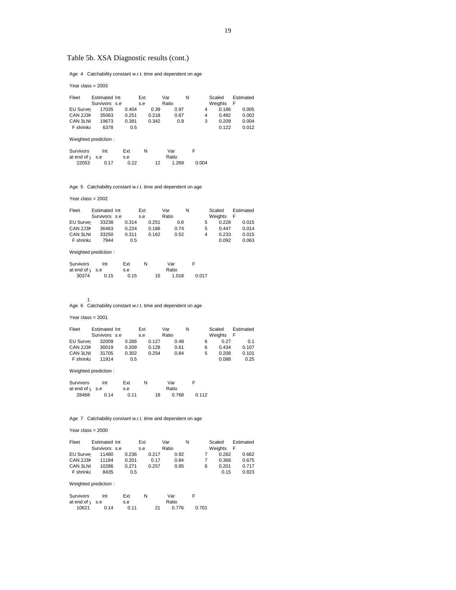# Table 5b. XSA Diagnostic results (cont.)

Age 4 Catchability constant w.r.t. time and dependent on age

Year class = 2003

| Fleet            | Estimated Int |       | Ext |       | Var   |      | N |   | Scaled  |   | Estimated |
|------------------|---------------|-------|-----|-------|-------|------|---|---|---------|---|-----------|
|                  | Survivors s.e |       | s.e |       | Ratio |      |   |   | Weights | F |           |
| EU Survey        | 17035         | 0.404 |     | 0.39  |       | 0.97 |   | 4 | 0.186   |   | 0.005     |
| CAN 2J3K         | 35063         | 0.251 |     | 0.218 |       | 0.87 |   | 4 | 0.482   |   | 0.002     |
| CAN 3LN          | 19673         | 0.381 |     | 0.342 |       | 0.9  |   | 3 | 0.209   |   | 0.004     |
| <b>F</b> shrinka | 6378          | 0.5   |     |       |       |      |   |   | 0.122   |   | 0.012     |
|                  |               |       |     |       |       |      |   |   |         |   |           |

Weighted prediction :

| Survivors                 | Int  | Ext  | N |    | Var   |       |
|---------------------------|------|------|---|----|-------|-------|
| at end of $\setminus$ s.e |      | s.e  |   |    | Ratio |       |
| 22053                     | 0.17 | 0.22 |   | 12 | 1.269 | 0.004 |

Age 5 Catchability constant w.r.t. time and dependent on age

Year class = 2002

| Fleet            | Estimated Int |       | Ext |       | Var   |      | N |   | Scaled  | Estimated |
|------------------|---------------|-------|-----|-------|-------|------|---|---|---------|-----------|
|                  | Survivors s.e |       | s.e |       | Ratio |      |   |   | Weights | - F       |
| EU Survey        | 33238         | 0.314 |     | 0.251 |       | 0.8  |   | 5 | 0.228   | 0.015     |
| CAN 2J3K         | 36463         | 0.224 |     | 0.166 |       | 0.74 |   | 5 | 0.447   | 0.014     |
| CAN 3LN          | 33250         | 0.311 |     | 0.162 |       | 0.52 |   | 4 | 0.233   | 0.015     |
| <b>F</b> shrinka | 7944          | 0.5   |     |       |       |      |   |   | 0.092   | 0.063     |

Weighted prediction :

| Survivors                 | Int  | Ext  | N |    | Var   |       |
|---------------------------|------|------|---|----|-------|-------|
| at end of $\setminus$ s.e |      | s.e  |   |    | Ratio |       |
| 30374                     | 0.15 | 0.15 |   | 15 | 1.018 | 0.017 |

1 Age 6 Catchability constant w.r.t. time and dependent on age

Year class = 2001

| Fleet            | Estimated Int |       | Ext |       | Var   |      | N |   | Scaled    | Estimated |
|------------------|---------------|-------|-----|-------|-------|------|---|---|-----------|-----------|
|                  | Survivors s.e |       | s.e |       | Ratio |      |   |   | Weights F |           |
| EU Survey        | 32009         | 0.266 |     | 0.127 |       | 0.48 |   | 6 | 0.27      | 0.1       |
| CAN 2J3K         | 30019         | 0.209 |     | 0.128 |       | 0.61 |   | 6 | 0.434     | 0.107     |
| CAN 3LNO         | 31705         | 0.302 |     | 0.254 |       | 0.84 |   | 5 | 0.208     | 0.101     |
| <b>F</b> shrinka | 11914         | 0.5   |     |       |       |      |   |   | 0.088     | 0.25      |

Weighted prediction :

| <b>Survivors</b>      | Int  | Ext  | N |    | Var   |       |
|-----------------------|------|------|---|----|-------|-------|
| at end of $\vert$ s.e |      | s.e  |   |    | Ratio |       |
| 28468                 | 0.14 | 0.11 |   | 18 | 0.768 | 0.112 |

Age 7 Catchability constant w.r.t. time and dependent on age

Year class = 2000

| Fleet     | Estimated Int | Ext   |       | Var   |      | N | Scaled |                | Estimated |
|-----------|---------------|-------|-------|-------|------|---|--------|----------------|-----------|
|           | Survivors s.e | s.e   |       | Ratio |      |   |        | Weights<br>- F |           |
| EU Survey | 11480         | 0.236 | 0.217 |       | 0.92 |   |        | 0.282          | 0.662     |
| CAN 2J3K  | 11184         | 0.201 | 0.17  |       | 0.84 |   |        | 0.368          | 0.675     |
| CAN 3LNO  | 10286         | 0.271 | 0.257 |       | 0.95 |   | 6      | 0.201          | 0.717     |
| F shrinka | 8435          | 0.5   |       |       |      |   |        | 0.15           | 0.823     |

Weighted prediction :

| Survivors             | Int  | Ext  |    | Var   |       |
|-----------------------|------|------|----|-------|-------|
| at end of $\vert$ s.e |      | s.e  |    | Ratio |       |
| 10621                 | 0.14 | 0.11 | 21 | 0.776 | 0.701 |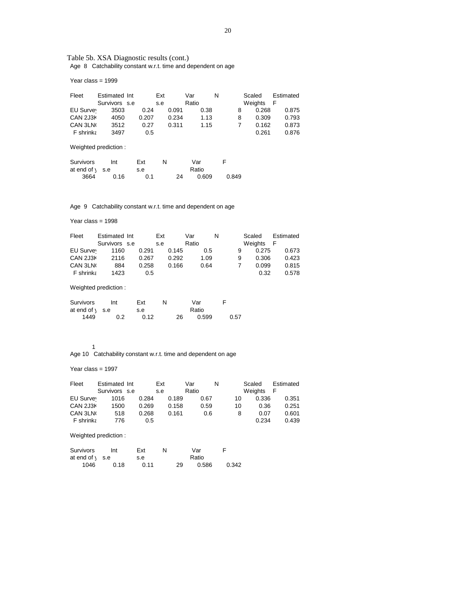### Table 5b. XSA Diagnostic results (cont.) Age 8 Catchability constant w.r.t. time and dependent on age

Year class = 1999

| Fleet                | Estimated Int<br>Survivors s.e |       | Ext<br>s.e |       | Var<br>Ratio | N     | Scaled<br>Weights | Estimated<br>F |
|----------------------|--------------------------------|-------|------------|-------|--------------|-------|-------------------|----------------|
| EU Survey            | 3503                           | 0.24  |            | 0.091 | 0.38         | 8     | 0.268             | 0.875          |
| CAN 2J3K             | 4050                           | 0.207 |            | 0.234 | 1.13         | 8     | 0.309             | 0.793          |
| CAN 3LN              | 3512                           | 0.27  |            | 0.311 | 1.15         | 7     | 0.162             | 0.873          |
| F shrinka            | 3497                           | 0.5   |            |       |              |       | 0.261             | 0.876          |
|                      | Weighted prediction:           |       |            |       |              |       |                   |                |
| Survivors            | Int                            | Ext   | N          |       | Var          | F     |                   |                |
| at end of $\sqrt{ }$ | s.e                            | s.e   |            |       | Ratio        |       |                   |                |
| 3664                 | 0.16                           | 0.1   |            | 24    | 0.609        | 0.849 |                   |                |
|                      |                                |       |            |       |              |       |                   |                |

Age 9 Catchability constant w.r.t. time and dependent on age

Year class = 1998

| Fleet            | Estimated Int |       | Ext |       | Var   |      | N |   | Scaled  | Estimated |
|------------------|---------------|-------|-----|-------|-------|------|---|---|---------|-----------|
|                  | Survivors s.e |       | s.e |       | Ratio |      |   |   | Weights | F         |
| EU Survey        | 1160          | 0.291 |     | 0.145 |       | 0.5  |   | 9 | 0.275   | 0.673     |
| CAN 2J3K         | 2116          | 0.267 |     | 0.292 |       | 1.09 |   | 9 | 0.306   | 0.423     |
| CAN 3LN          | 884           | 0.258 |     | 0.166 |       | 0.64 |   | 7 | 0.099   | 0.815     |
| <b>F</b> shrinka | 1423          | 0.5   |     |       |       |      |   |   | 0.32    | 0.578     |

Weighted prediction :

| Survivors                 | Int | Ext  | N |    | Var   |      |  |
|---------------------------|-----|------|---|----|-------|------|--|
| at end of $\setminus$ s.e |     | s.e  |   |    | Ratio |      |  |
| 1449                      | 0.2 | 0.12 |   | 26 | 0.599 | 0.57 |  |

1

Age 10 Catchability constant w.r.t. time and dependent on age

Year class = 1997

| Fleet            | Estimated Int |       | Ext |       | Var   |      | N |    | Scaled  | Estimated |
|------------------|---------------|-------|-----|-------|-------|------|---|----|---------|-----------|
|                  | Survivors s.e |       | s.e |       | Ratio |      |   |    | Weights | F         |
| EU Survey        | 1016          | 0.284 |     | 0.189 |       | 0.67 |   | 10 | 0.336   | 0.351     |
| CAN 2J3K         | 1500          | 0.269 |     | 0.158 |       | 0.59 |   | 10 | 0.36    | 0.251     |
| CAN 3LN          | 518           | 0.268 |     | 0.161 |       | 0.6  |   | 8  | 0.07    | 0.601     |
| <b>F</b> shrinka | 776           | 0.5   |     |       |       |      |   |    | 0.234   | 0.439     |

Weighted prediction :

| Survivors                 | Int  | Ext  | N |    | Var   |       |
|---------------------------|------|------|---|----|-------|-------|
| at end of $\setminus$ s.e |      | s.e  |   |    | Ratio |       |
| 1046                      | 0.18 | 0.11 |   | 29 | 0.586 | 0.342 |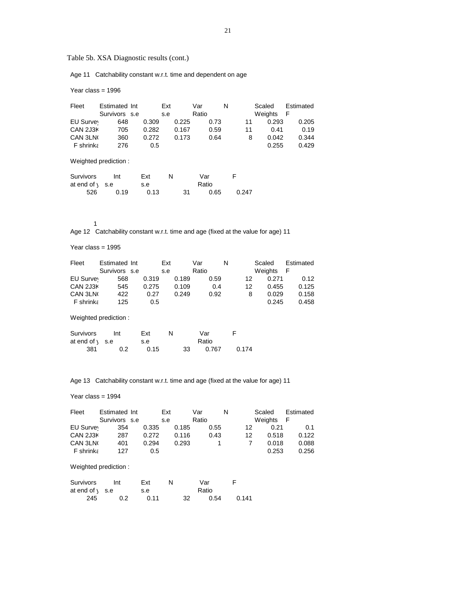Table 5b. XSA Diagnostic results (cont.)

Age 11 Catchability constant w.r.t. time and dependent on age

Year class = 1996

| Fleet                | Estimated Int        |       | Ext   | Var   | N    |       | Scaled  | Estimated |
|----------------------|----------------------|-------|-------|-------|------|-------|---------|-----------|
|                      | Survivors s.e        |       | s.e   | Ratio |      |       | Weights | F         |
| EU Survey            | 648                  | 0.309 | 0.225 |       | 0.73 | 11    | 0.293   | 0.205     |
| CAN 2J3K             | 705                  | 0.282 | 0.167 |       | 0.59 | 11    | 0.41    | 0.19      |
| CAN 3LN              | 360                  | 0.272 | 0.173 |       | 0.64 | 8     | 0.042   | 0.344     |
| F shrinka            | 276                  | 0.5   |       |       |      |       | 0.255   | 0.429     |
|                      | Weighted prediction: |       |       |       |      |       |         |           |
| Survivors            | Int                  | Ext   | N     | Var   | F    |       |         |           |
| at end of $\sqrt{ }$ | s.e                  | s.e   |       | Ratio |      |       |         |           |
| 526                  | 0.19                 | 0.13  |       | 31    | 0.65 | 0.247 |         |           |

1

Age 12 Catchability constant w.r.t. time and age (fixed at the value for age) 11

Year class = 1995

| Fleet                | Estimated Int        |       | Ext   | Var   | N     | Scaled  | Estimated |
|----------------------|----------------------|-------|-------|-------|-------|---------|-----------|
|                      | Survivors s.e        |       | s.e   | Ratio |       | Weights | F         |
| EU Survey            | 568                  | 0.319 | 0.189 | 0.59  | 12    | 0.271   | 0.12      |
| CAN 2J3K             | 545                  | 0.275 | 0.109 | 0.4   | 12    | 0.455   | 0.125     |
| CAN 3LN              | 422                  | 0.27  | 0.249 | 0.92  | 8     | 0.029   | 0.158     |
| F shrinka            | 125                  | 0.5   |       |       |       | 0.245   | 0.458     |
|                      | Weighted prediction: |       |       |       |       |         |           |
| Survivors            | Int                  | Ext   | N     | Var   | F     |         |           |
| at end of $\sqrt{ }$ | s.e                  | s.e   |       | Ratio |       |         |           |
| 381                  | 0.2                  | 0.15  | 33    | 0.767 | 0.174 |         |           |

Age 13 Catchability constant w.r.t. time and age (fixed at the value for age) 11

#### Year class = 1994

| Fleet            | Estimated Int |       | Ext |       | Var   |      | N |    | Scaled  | Estimated |
|------------------|---------------|-------|-----|-------|-------|------|---|----|---------|-----------|
|                  | Survivors s.e |       | s.e |       | Ratio |      |   |    | Weights | F         |
| EU Survey        | 354           | 0.335 |     | 0.185 |       | 0.55 |   | 12 | 0.21    | 0.1       |
| CAN 2J3K         | 287           | 0.272 |     | 0.116 |       | 0.43 |   | 12 | 0.518   | 0.122     |
| CAN 3LN          | 401           | 0.294 |     | 0.293 |       |      |   |    | 0.018   | 0.088     |
| <b>F</b> shrinka | 127           | 0.5   |     |       |       |      |   |    | 0.253   | 0.256     |

# Weighted prediction :

| Survivors                 | Int | Fxt  |    | Var   |       |
|---------------------------|-----|------|----|-------|-------|
| at end of $\setminus$ s.e |     | s.e  |    | Ratio |       |
| 245                       | 0.2 | 0.11 | 32 | 0.54  | 0.141 |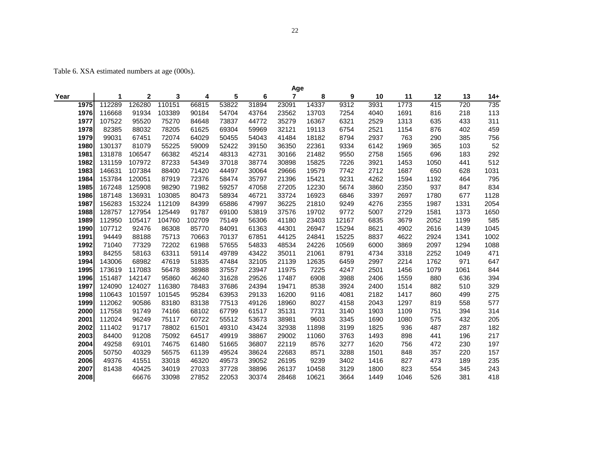Table 6. XSA estimated numbers at age (000s).

|      |        |        |        |        |       |       | Age   |       |       |      |      |                  |      |      |
|------|--------|--------|--------|--------|-------|-------|-------|-------|-------|------|------|------------------|------|------|
| Year | 1      | 2      | 3      | 4      | 5     | 6     | 7     | 8     | 9     | 10   | 11   | 12               | 13   | 14+  |
| 1975 | 112289 | 126280 | 110151 | 66815  | 53822 | 31894 | 23091 | 14337 | 9312  | 3931 | 1773 | $\overline{415}$ | 720  | 735  |
| 1976 | 116668 | 91934  | 103389 | 90184  | 54704 | 43764 | 23562 | 13703 | 7254  | 4040 | 1691 | 816              | 218  | 113  |
| 1977 | 107522 | 95520  | 75270  | 84648  | 73837 | 44772 | 35279 | 16367 | 6321  | 2529 | 1313 | 635              | 433  | 311  |
| 1978 | 82385  | 88032  | 78205  | 61625  | 69304 | 59969 | 32121 | 19113 | 6754  | 2521 | 1154 | 876              | 402  | 459  |
| 1979 | 99031  | 67451  | 72074  | 64029  | 50455 | 54043 | 41484 | 18182 | 8794  | 2937 | 763  | 290              | 385  | 756  |
| 1980 | 130137 | 81079  | 55225  | 59009  | 52422 | 39150 | 36350 | 22361 | 9334  | 6142 | 1969 | 365              | 103  | 52   |
| 1981 | 131878 | 106547 | 66382  | 45214  | 48313 | 42731 | 30166 | 21482 | 9550  | 2758 | 1565 | 696              | 183  | 292  |
| 1982 | 131159 | 107972 | 87233  | 54349  | 37018 | 38774 | 30898 | 15825 | 7226  | 3921 | 1453 | 1050             | 441  | 512  |
| 1983 | 146631 | 107384 | 88400  | 71420  | 44497 | 30064 | 29666 | 19579 | 7742  | 2712 | 1687 | 650              | 628  | 1031 |
| 1984 | 153784 | 120051 | 87919  | 72376  | 58474 | 35797 | 21396 | 15421 | 9231  | 4262 | 1594 | 1192             | 464  | 795  |
| 1985 | 167248 | 125908 | 98290  | 71982  | 59257 | 47058 | 27205 | 12230 | 5674  | 3860 | 2350 | 937              | 847  | 834  |
| 1986 | 187148 | 136931 | 103085 | 80473  | 58934 | 46721 | 33724 | 16923 | 6846  | 3397 | 2697 | 1780             | 677  | 1128 |
| 1987 | 156283 | 153224 | 112109 | 84399  | 65886 | 47997 | 36225 | 21810 | 9249  | 4276 | 2355 | 1987             | 1331 | 2054 |
| 1988 | 128757 | 127954 | 125449 | 91787  | 69100 | 53819 | 37576 | 19702 | 9772  | 5007 | 2729 | 1581             | 1373 | 1650 |
| 1989 | 112950 | 105417 | 104760 | 102709 | 75149 | 56306 | 41180 | 23403 | 12167 | 6835 | 3679 | 2052             | 1199 | 585  |
| 1990 | 107712 | 92476  | 86308  | 85770  | 84091 | 61363 | 44301 | 26947 | 15294 | 8621 | 4902 | 2616             | 1439 | 1045 |
| 1991 | 94449  | 88188  | 75713  | 70663  | 70137 | 67851 | 44125 | 24841 | 15225 | 8837 | 4622 | 2924             | 1341 | 1002 |
| 1992 | 71040  | 77329  | 72202  | 61988  | 57655 | 54833 | 48534 | 24226 | 10569 | 6000 | 3869 | 2097             | 1294 | 1088 |
| 1993 | 84255  | 58163  | 63311  | 59114  | 49789 | 43422 | 35011 | 21061 | 8791  | 4734 | 3318 | 2252             | 1049 | 471  |
| 1994 | 143006 | 68982  | 47619  | 51835  | 47484 | 32105 | 21139 | 12635 | 6459  | 2997 | 2214 | 1762             | 971  | 647  |
| 1995 | 173619 | 117083 | 56478  | 38988  | 37557 | 23947 | 11975 | 7225  | 4247  | 2501 | 1456 | 1079             | 1061 | 844  |
| 1996 | 151487 | 142147 | 95860  | 46240  | 31628 | 29526 | 17487 | 6908  | 3988  | 2406 | 1559 | 880              | 636  | 394  |
| 1997 | 124090 | 124027 | 116380 | 78483  | 37686 | 24394 | 19471 | 8538  | 3924  | 2400 | 1514 | 882              | 510  | 329  |
| 1998 | 110643 | 101597 | 101545 | 95284  | 63953 | 29133 | 16200 | 9116  | 4081  | 2182 | 1417 | 860              | 499  | 275  |
| 1999 | 112062 | 90586  | 83180  | 83138  | 77513 | 49126 | 18960 | 8027  | 4158  | 2043 | 1297 | 819              | 558  | 577  |
| 2000 | 117558 | 91749  | 74166  | 68102  | 67799 | 61517 | 35131 | 7731  | 3140  | 1903 | 1109 | 751              | 394  | 314  |
| 2001 | 112024 | 96249  | 75117  | 60722  | 55512 | 53673 | 38981 | 9603  | 3345  | 1690 | 1080 | 575              | 432  | 205  |
| 2002 | 111402 | 91717  | 78802  | 61501  | 49310 | 43424 | 32938 | 11898 | 3199  | 1825 | 936  | 487              | 287  | 182  |
| 2003 | 84400  | 91208  | 75092  | 64517  | 49919 | 38867 | 29002 | 11060 | 3763  | 1493 | 898  | 441              | 196  | 217  |
| 2004 | 49258  | 69101  | 74675  | 61480  | 51665 | 36807 | 22119 | 8576  | 3277  | 1620 | 756  | 472              | 230  | 197  |
| 2005 | 50750  | 40329  | 56575  | 61139  | 49524 | 38624 | 22683 | 8571  | 3288  | 1501 | 848  | 357              | 220  | 157  |
| 2006 | 49376  | 41551  | 33018  | 46320  | 49573 | 39052 | 26195 | 9239  | 3402  | 1416 | 827  | 473              | 189  | 235  |
| 2007 | 81438  | 40425  | 34019  | 27033  | 37728 | 38896 | 26137 | 10458 | 3129  | 1800 | 823  | 554              | 345  | 243  |
| 2008 |        | 66676  | 33098  | 27852  | 22053 | 30374 | 28468 | 10621 | 3664  | 1449 | 1046 | 526              | 381  | 418  |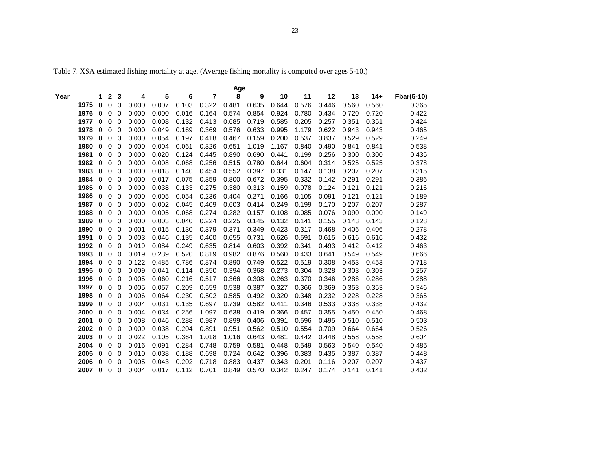Table 7. XSA estimated fishing mortality at age. (Average fishing mortality is computed over ages 5-10.)

|      |             |             |             |             |       |       |       |       | Age   |       |       |       |       |       |       |            |
|------|-------------|-------------|-------------|-------------|-------|-------|-------|-------|-------|-------|-------|-------|-------|-------|-------|------------|
| Year |             | 1           | $\mathbf 2$ | 3           | 4     | 5     | 6     | 7     | 8     | 9     | 10    | 11    | 12    | 13    | $14+$ | Fbar(5-10) |
|      | 1975        | $\Omega$    | $\Omega$    | $\Omega$    | 0.000 | 0.007 | 0.103 | 0.322 | 0.481 | 0.635 | 0.644 | 0.576 | 0.446 | 0.560 | 0.560 | 0.365      |
|      | <b>1976</b> | $\Omega$    | $\Omega$    | $\Omega$    | 0.000 | 0.000 | 0.016 | 0.164 | 0.574 | 0.854 | 0.924 | 0.780 | 0.434 | 0.720 | 0.720 | 0.422      |
|      | 1977        | 0           | $\Omega$    | $\Omega$    | 0.000 | 0.008 | 0.132 | 0.413 | 0.685 | 0.719 | 0.585 | 0.205 | 0.257 | 0.351 | 0.351 | 0.424      |
|      | 1978        | 0           | 0           | $\Omega$    | 0.000 | 0.049 | 0.169 | 0.369 | 0.576 | 0.633 | 0.995 | 1.179 | 0.622 | 0.943 | 0.943 | 0.465      |
|      | 1979        | 0           | 0           | 0           | 0.000 | 0.054 | 0.197 | 0.418 | 0.467 | 0.159 | 0.200 | 0.537 | 0.837 | 0.529 | 0.529 | 0.249      |
|      | 1980        | 0           | 0           | 0           | 0.000 | 0.004 | 0.061 | 0.326 | 0.651 | 1.019 | 1.167 | 0.840 | 0.490 | 0.841 | 0.841 | 0.538      |
|      | 1981        | 0           | 0           | 0           | 0.000 | 0.020 | 0.124 | 0.445 | 0.890 | 0.690 | 0.441 | 0.199 | 0.256 | 0.300 | 0.300 | 0.435      |
|      | 1982        | $\mathbf 0$ | $\mathbf 0$ | $\mathbf 0$ | 0.000 | 0.008 | 0.068 | 0.256 | 0.515 | 0.780 | 0.644 | 0.604 | 0.314 | 0.525 | 0.525 | 0.378      |
|      | 1983        | 0           | $\Omega$    | $\Omega$    | 0.000 | 0.018 | 0.140 | 0.454 | 0.552 | 0.397 | 0.331 | 0.147 | 0.138 | 0.207 | 0.207 | 0.315      |
|      | 1984        | 0           | 0           | 0           | 0.000 | 0.017 | 0.075 | 0.359 | 0.800 | 0.672 | 0.395 | 0.332 | 0.142 | 0.291 | 0.291 | 0.386      |
|      | 1985        | 0           | 0           | 0           | 0.000 | 0.038 | 0.133 | 0.275 | 0.380 | 0.313 | 0.159 | 0.078 | 0.124 | 0.121 | 0.121 | 0.216      |
|      | 1986        | 0           | 0           | 0           | 0.000 | 0.005 | 0.054 | 0.236 | 0.404 | 0.271 | 0.166 | 0.105 | 0.091 | 0.121 | 0.121 | 0.189      |
|      | 1987        | 0           | 0           | $\mathbf 0$ | 0.000 | 0.002 | 0.045 | 0.409 | 0.603 | 0.414 | 0.249 | 0.199 | 0.170 | 0.207 | 0.207 | 0.287      |
|      | 1988        | $\mathbf 0$ | $\Omega$    | $\Omega$    | 0.000 | 0.005 | 0.068 | 0.274 | 0.282 | 0.157 | 0.108 | 0.085 | 0.076 | 0.090 | 0.090 | 0.149      |
|      | 1989        | $\mathbf 0$ | $\Omega$    | $\Omega$    | 0.000 | 0.003 | 0.040 | 0.224 | 0.225 | 0.145 | 0.132 | 0.141 | 0.155 | 0.143 | 0.143 | 0.128      |
|      | 1990        | 0           | 0           | $\mathbf 0$ | 0.001 | 0.015 | 0.130 | 0.379 | 0.371 | 0.349 | 0.423 | 0.317 | 0.468 | 0.406 | 0.406 | 0.278      |
|      | 1991        | 0           | 0           | $\Omega$    | 0.003 | 0.046 | 0.135 | 0.400 | 0.655 | 0.731 | 0.626 | 0.591 | 0.615 | 0.616 | 0.616 | 0.432      |
|      | 1992        | 0           | 0           | 0           | 0.019 | 0.084 | 0.249 | 0.635 | 0.814 | 0.603 | 0.392 | 0.341 | 0.493 | 0.412 | 0.412 | 0.463      |
|      | 1993        | 0           | 0           | 0           | 0.019 | 0.239 | 0.520 | 0.819 | 0.982 | 0.876 | 0.560 | 0.433 | 0.641 | 0.549 | 0.549 | 0.666      |
|      | 1994        | 0           | $\Omega$    | 0           | 0.122 | 0.485 | 0.786 | 0.874 | 0.890 | 0.749 | 0.522 | 0.519 | 0.308 | 0.453 | 0.453 | 0.718      |
|      | 1995        | $\mathbf 0$ | $\mathbf 0$ | $\mathbf 0$ | 0.009 | 0.041 | 0.114 | 0.350 | 0.394 | 0.368 | 0.273 | 0.304 | 0.328 | 0.303 | 0.303 | 0.257      |
|      | 1996        | 0           | 0           | 0           | 0.005 | 0.060 | 0.216 | 0.517 | 0.366 | 0.308 | 0.263 | 0.370 | 0.346 | 0.286 | 0.286 | 0.288      |
|      | 1997        | 0           | 0           | $\mathbf 0$ | 0.005 | 0.057 | 0.209 | 0.559 | 0.538 | 0.387 | 0.327 | 0.366 | 0.369 | 0.353 | 0.353 | 0.346      |
|      | 1998        | 0           | 0           | 0           | 0.006 | 0.064 | 0.230 | 0.502 | 0.585 | 0.492 | 0.320 | 0.348 | 0.232 | 0.228 | 0.228 | 0.365      |
|      | 1999        | 0           | 0           | 0           | 0.004 | 0.031 | 0.135 | 0.697 | 0.739 | 0.582 | 0.411 | 0.346 | 0.533 | 0.338 | 0.338 | 0.432      |
|      | 2000        | 0           | $\Omega$    | 0           | 0.004 | 0.034 | 0.256 | 1.097 | 0.638 | 0.419 | 0.366 | 0.457 | 0.355 | 0.450 | 0.450 | 0.468      |
|      | 2001        | $\Omega$    | $\Omega$    | $\Omega$    | 0.008 | 0.046 | 0.288 | 0.987 | 0.899 | 0.406 | 0.391 | 0.596 | 0.495 | 0.510 | 0.510 | 0.503      |
|      | 2002        | 0           | 0           | 0           | 0.009 | 0.038 | 0.204 | 0.891 | 0.951 | 0.562 | 0.510 | 0.554 | 0.709 | 0.664 | 0.664 | 0.526      |
|      | 2003        | 0           | 0           | 0           | 0.022 | 0.105 | 0.364 | 1.018 | 1.016 | 0.643 | 0.481 | 0.442 | 0.448 | 0.558 | 0.558 | 0.604      |
|      | 2004        | 0           | 0           | 0           | 0.016 | 0.091 | 0.284 | 0.748 | 0.759 | 0.581 | 0.448 | 0.549 | 0.563 | 0.540 | 0.540 | 0.485      |
|      | 2005        | 0           | 0           | 0           | 0.010 | 0.038 | 0.188 | 0.698 | 0.724 | 0.642 | 0.396 | 0.383 | 0.435 | 0.387 | 0.387 | 0.448      |
|      | 2006        | 0           | 0           | 0           | 0.005 | 0.043 | 0.202 | 0.718 | 0.883 | 0.437 | 0.343 | 0.201 | 0.116 | 0.207 | 0.207 | 0.437      |
|      | 2007        | $\Omega$    | $\Omega$    | $\Omega$    | 0.004 | 0.017 | 0.112 | 0.701 | 0.849 | 0.570 | 0.342 | 0.247 | 0.174 | 0.141 | 0.141 | 0.432      |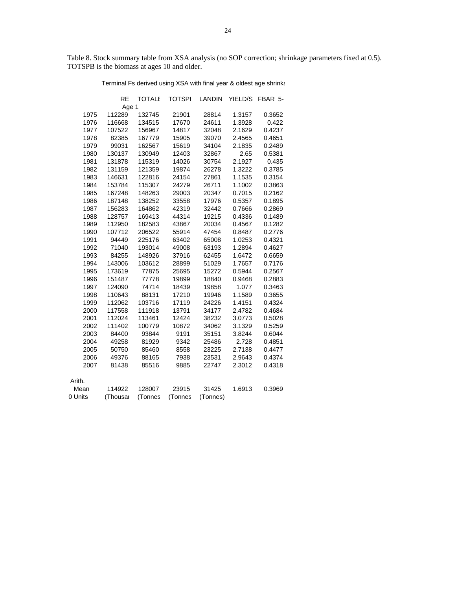Table 8. Stock summary table from XSA analysis (no SOP correction; shrinkage parameters fixed at 0.5). TOTSPB is the biomass at ages 10 and older.

Terminal Fs derived using XSA with final year & oldest age shrinka

|         | <b>RE</b> | <b>TOTALE</b> | <b>TOTSPI</b> | <b>LANDIN</b> | YIELD/S | FBAR 5- |
|---------|-----------|---------------|---------------|---------------|---------|---------|
|         | Age 1     |               |               |               |         |         |
| 1975    | 112289    | 132745        | 21901         | 28814         | 1.3157  | 0.3652  |
| 1976    | 116668    | 134515        | 17670         | 24611         | 1.3928  | 0.422   |
| 1977    | 107522    | 156967        | 14817         | 32048         | 2.1629  | 0.4237  |
| 1978    | 82385     | 167779        | 15905         | 39070         | 2.4565  | 0.4651  |
| 1979    | 99031     | 162567        | 15619         | 34104         | 2.1835  | 0.2489  |
| 1980    | 130137    | 130949        | 12403         | 32867         | 2.65    | 0.5381  |
| 1981    | 131878    | 115319        | 14026         | 30754         | 2.1927  | 0.435   |
| 1982    | 131159    | 121359        | 19874         | 26278         | 1.3222  | 0.3785  |
| 1983    | 146631    | 122816        | 24154         | 27861         | 1.1535  | 0.3154  |
| 1984    | 153784    | 115307        | 24279         | 26711         | 1.1002  | 0.3863  |
| 1985    | 167248    | 148263        | 29003         | 20347         | 0.7015  | 0.2162  |
| 1986    | 187148    | 138252        | 33558         | 17976         | 0.5357  | 0.1895  |
| 1987    | 156283    | 164862        | 42319         | 32442         | 0.7666  | 0.2869  |
| 1988    | 128757    | 169413        | 44314         | 19215         | 0.4336  | 0.1489  |
| 1989    | 112950    | 182583        | 43867         | 20034         | 0.4567  | 0.1282  |
| 1990    | 107712    | 206522        | 55914         | 47454         | 0.8487  | 0.2776  |
| 1991    | 94449     | 225176        | 63402         | 65008         | 1.0253  | 0.4321  |
| 1992    | 71040     | 193014        | 49008         | 63193         | 1.2894  | 0.4627  |
| 1993    | 84255     | 148926        | 37916         | 62455         | 1.6472  | 0.6659  |
| 1994    | 143006    | 103612        | 28899         | 51029         | 1.7657  | 0.7176  |
| 1995    | 173619    | 77875         | 25695         | 15272         | 0.5944  | 0.2567  |
| 1996    | 151487    | 77778         | 19899         | 18840         | 0.9468  | 0.2883  |
| 1997    | 124090    | 74714         | 18439         | 19858         | 1.077   | 0.3463  |
| 1998    | 110643    | 88131         | 17210         | 19946         | 1.1589  | 0.3655  |
| 1999    | 112062    | 103716        | 17119         | 24226         | 1.4151  | 0.4324  |
| 2000    | 117558    | 111918        | 13791         | 34177         | 2.4782  | 0.4684  |
| 2001    | 112024    | 113461        | 12424         | 38232         | 3.0773  | 0.5028  |
| 2002    | 111402    | 100779        | 10872         | 34062         | 3.1329  | 0.5259  |
| 2003    | 84400     | 93844         | 9191          | 35151         | 3.8244  | 0.6044  |
| 2004    | 49258     | 81929         | 9342          | 25486         | 2.728   | 0.4851  |
| 2005    | 50750     | 85460         | 8558          | 23225         | 2.7138  | 0.4477  |
| 2006    | 49376     | 88165         | 7938          | 23531         | 2.9643  | 0.4374  |
| 2007    | 81438     | 85516         | 9885          | 22747         | 2.3012  | 0.4318  |
| Arith.  |           |               |               |               |         |         |
| Mean    | 114922    | 128007        | 23915         | 31425         | 1.6913  | 0.3969  |
| 0 Units | (Thousar  | (Tonnes       | (Tonnes       | (Tonnes)      |         |         |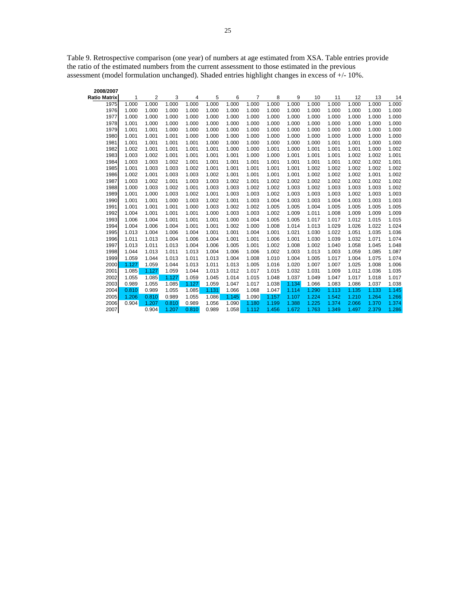Table 9. Retrospective comparison (one year) of numbers at age estimated from XSA. Table entries provide the ratio of the estimated numbers from the current assessment to those estimated in the previous assessment (model formulation unchanged). Shaded entries highlight changes in excess of +/- 10%.

| 2008/2007    |       |       |       |       |       |       |       |       |       |       |       |       |       |       |
|--------------|-------|-------|-------|-------|-------|-------|-------|-------|-------|-------|-------|-------|-------|-------|
| Ratio Matrix | 1     | 2     | 3     | 4     | 5     | 6     | 7     | 8     | 9     | 10    | 11    | 12    | 13    | 14    |
| 1975         | 1.000 | 1.000 | 1.000 | 1.000 | 1.000 | 1.000 | 1.000 | 1.000 | 1.000 | 1.000 | 1.000 | 1.000 | 1.000 | 1.000 |
| 1976         | 1.000 | 1.000 | 1.000 | 1.000 | 1.000 | 1.000 | 1.000 | 1.000 | 1.000 | 1.000 | 1.000 | 1.000 | 1.000 | 1.000 |
| 1977         | 1.000 | 1.000 | 1.000 | 1.000 | 1.000 | 1.000 | 1.000 | 1.000 | 1.000 | 1.000 | 1.000 | 1.000 | 1.000 | 1.000 |
| 1978         | 1.001 | 1.000 | 1.000 | 1.000 | 1.000 | 1.000 | 1.000 | 1.000 | 1.000 | 1.000 | 1.000 | 1.000 | 1.000 | 1.000 |
| 1979         | 1.001 | 1.001 | 1.000 | 1.000 | 1.000 | 1.000 | 1.000 | 1.000 | 1.000 | 1.000 | 1.000 | 1.000 | 1.000 | 1.000 |
| 1980         | 1.001 | 1.001 | 1.001 | 1.000 | 1.000 | 1.000 | 1.000 | 1.000 | 1.000 | 1.000 | 1.000 | 1.000 | 1.000 | 1.000 |
| 1981         | 1.001 | 1.001 | 1.001 | 1.001 | 1.000 | 1.000 | 1.000 | 1.000 | 1.000 | 1.000 | 1.001 | 1.001 | 1.000 | 1.000 |
| 1982         | 1.002 | 1.001 | 1.001 | 1.001 | 1.001 | 1.000 | 1.000 | 1.001 | 1.000 | 1.001 | 1.001 | 1.001 | 1.000 | 1.002 |
| 1983         | 1.003 | 1.002 | 1.001 | 1.001 | 1.001 | 1.001 | 1.000 | 1.000 | 1.001 | 1.001 | 1.001 | 1.002 | 1.002 | 1.001 |
| 1984         | 1.003 | 1.003 | 1.002 | 1.001 | 1.001 | 1.001 | 1.001 | 1.001 | 1.001 | 1.001 | 1.001 | 1.002 | 1.002 | 1.001 |
| 1985         | 1.001 | 1.003 | 1.003 | 1.002 | 1.001 | 1.001 | 1.001 | 1.001 | 1.001 | 1.002 | 1.002 | 1.002 | 1.002 | 1.002 |
| 1986         | 1.002 | 1.001 | 1.003 | 1.003 | 1.002 | 1.001 | 1.001 | 1.001 | 1.001 | 1.002 | 1.002 | 1.002 | 1.001 | 1.002 |
| 1987         | 1.003 | 1.002 | 1.001 | 1.003 | 1.003 | 1.002 | 1.001 | 1.002 | 1.002 | 1.002 | 1.002 | 1.002 | 1.002 | 1.002 |
| 1988         | 1.000 | 1.003 | 1.002 | 1.001 | 1.003 | 1.003 | 1.002 | 1.002 | 1.003 | 1.002 | 1.003 | 1.003 | 1.003 | 1.002 |
| 1989         | 1.001 | 1.000 | 1.003 | 1.002 | 1.001 | 1.003 | 1.003 | 1.002 | 1.003 | 1.003 | 1.003 | 1.002 | 1.003 | 1.003 |
| 1990         | 1.001 | 1.001 | 1.000 | 1.003 | 1.002 | 1.001 | 1.003 | 1.004 | 1.003 | 1.003 | 1.004 | 1.003 | 1.003 | 1.003 |
| 1991         | 1.001 | 1.001 | 1.001 | 1.000 | 1.003 | 1.002 | 1.002 | 1.005 | 1.005 | 1.004 | 1.005 | 1.005 | 1.005 | 1.005 |
| 1992         | 1.004 | 1.001 | 1.001 | 1.001 | 1.000 | 1.003 | 1.003 | 1.002 | 1.009 | 1.011 | 1.008 | 1.009 | 1.009 | 1.009 |
| 1993         | 1.006 | 1.004 | 1.001 | 1.001 | 1.001 | 1.000 | 1.004 | 1.005 | 1.005 | 1.017 | 1.017 | 1.012 | 1.015 | 1.015 |
| 1994         | 1.004 | 1.006 | 1.004 | 1.001 | 1.001 | 1.002 | 1.000 | 1.008 | 1.014 | 1.013 | 1.029 | 1.026 | 1.022 | 1.024 |
| 1995         | 1.013 | 1.004 | 1.006 | 1.004 | 1.001 | 1.001 | 1.004 | 1.001 | 1.021 | 1.030 | 1.022 | 1.051 | 1.035 | 1.036 |
| 1996         | 1.011 | 1.013 | 1.004 | 1.006 | 1.004 | 1.001 | 1.001 | 1.006 | 1.001 | 1.030 | 1.039 | 1.032 | 1.071 | 1.074 |
| 1997         | 1.013 | 1.011 | 1.013 | 1.004 | 1.006 | 1.005 | 1.001 | 1.002 | 1.008 | 1.002 | 1.040 | 1.058 | 1.045 | 1.048 |
| 1998         | 1.044 | 1.013 | 1.011 | 1.013 | 1.004 | 1.006 | 1.006 | 1.002 | 1.003 | 1.013 | 1.003 | 1.059 | 1.085 | 1.087 |
| 1999         | 1.059 | 1.044 | 1.013 | 1.011 | 1.013 | 1.004 | 1.008 | 1.010 | 1.004 | 1.005 | 1.017 | 1.004 | 1.075 | 1.074 |
| 2000         | 1.127 | 1.059 | 1.044 | 1.013 | 1.011 | 1.013 | 1.005 | 1.016 | 1.020 | 1.007 | 1.007 | 1.025 | 1.008 | 1.006 |
| 2001         | 1.085 | 1.127 | 1.059 | 1.044 | 1.013 | 1.012 | 1.017 | 1.015 | 1.032 | 1.031 | 1.009 | 1.012 | 1.036 | 1.035 |
| 2002         | 1.055 | 1.085 | 1.127 | 1.059 | 1.045 | 1.014 | 1.015 | 1.048 | 1.037 | 1.049 | 1.047 | 1.017 | 1.018 | 1.017 |
| 2003         | 0.989 | 1.055 | 1.085 | 1.127 | 1.059 | 1.047 | 1.017 | 1.038 | 1.134 | 1.066 | 1.083 | 1.086 | 1.037 | 1.038 |
| 2004         | 0.810 | 0.989 | 1.055 | 1.085 | 1.131 | 1.066 | 1.068 | 1.047 | 1.114 | 1.290 | 1.113 | 1.135 | 1.133 | 1.145 |
| 2005         | 1.206 | 0.810 | 0.989 | 1.055 | 1.086 | 1.145 | 1.090 | 1.157 | 1.107 | 1.224 | 1.542 | 1.210 | 1.264 | 1.266 |
| 2006         | 0.904 | 1.207 | 0.810 | 0.989 | 1.056 | 1.090 | 1.180 | 1.199 | 1.388 | 1.225 | 1.374 | 2.066 | 1.370 | 1.374 |
| 2007         |       | 0.904 | 1.207 | 0.810 | 0.989 | 1.058 | 1.112 | 1.456 | 1.672 | 1.763 | 1.349 | 1.497 | 2.379 | 1.286 |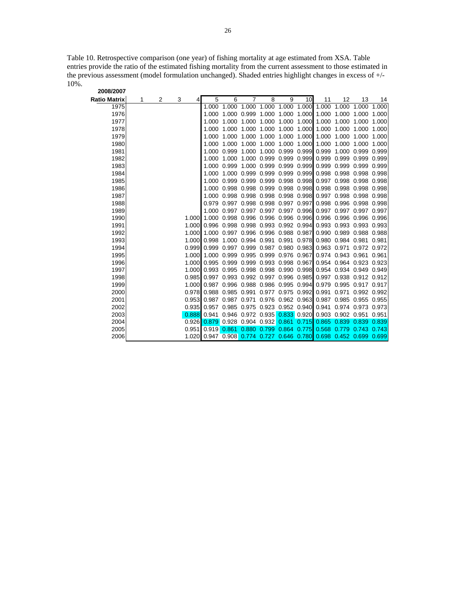Table 10. Retrospective comparison (one year) of fishing mortality at age estimated from XSA. Table entries provide the ratio of the estimated fishing mortality from the current assessment to those estimated in the previous assessment (model formulation unchanged). Shaded entries highlight changes in excess of +/- 10%. **2008/2007**

| zuuu zuu i   |   |   |       |       |                   |                   |                                     |             |       |                                                 |                   |                                                                                        |       |
|--------------|---|---|-------|-------|-------------------|-------------------|-------------------------------------|-------------|-------|-------------------------------------------------|-------------------|----------------------------------------------------------------------------------------|-------|
| Ratio Matrix | 1 | 2 | 3     | 5     | 6                 |                   | 8                                   | 9           | 10    | 11                                              | 12                | 13                                                                                     | 14    |
| 1975         |   |   |       | 1.000 | 1.000             | 1.000             | 1.000                               | 1.000       | 1.000 | 1.000                                           | 1.000             | 1.000                                                                                  | 1.000 |
| 1976         |   |   |       | 1.000 |                   | 1.000 0.999       | 1.000                               | 1.000       | 1.000 | 1.000 1.000                                     |                   | 1.000                                                                                  | 1.000 |
| 1977         |   |   |       | 1.000 |                   | 1.000 1.000       | 1.000                               | 1.000       | 1.000 |                                                 | 1.000 1.000       | 1.000 1.000                                                                            |       |
| 1978         |   |   |       | 1.000 | 1.000             | 1.000             | 1.000                               | 1.000       | 1.000 | 1.000 1.000                                     |                   | 1.000                                                                                  | 1.000 |
| 1979         |   |   |       | 1.000 |                   | 1.000 1.000       | 1.000                               | 1.000       | 1.000 | 1.000 1.000                                     |                   | 1.000                                                                                  | 1.000 |
| 1980         |   |   |       | 1.000 |                   | 1.000 1.000       | 1.000                               | 1.000       | 1.000 | 1.000 1.000                                     |                   | 1.000                                                                                  | 1.000 |
| 1981         |   |   |       | 1.000 | 0.999 1.000       |                   | 1.000                               | 0.999 0.999 |       |                                                 | 0.999 1.000       | 0.999                                                                                  | 0.999 |
| 1982         |   |   |       | 1.000 |                   | 1.000 1.000       | 0.999                               |             |       | 0.999 0.999 0.999 0.999 0.999                   |                   |                                                                                        | 0.999 |
| 1983         |   |   |       | 1.000 |                   | 0.999 1.000       | 0.999                               | 0.999       | 0.999 |                                                 |                   | 0.999 0.999 0.999 0.999                                                                |       |
| 1984         |   |   |       | 1.000 |                   | 1.000 0.999       | 0.999                               | 0.999       | 0.999 |                                                 | 0.998 0.998 0.998 |                                                                                        | 0.998 |
| 1985         |   |   |       | 1.000 |                   | 0.999 0.999       | 0.999                               |             |       |                                                 |                   | 0.998 0.998 0.997 0.998 0.998 0.998                                                    |       |
| 1986         |   |   |       | 1.000 | 0.998 0.998 0.999 |                   |                                     |             |       |                                                 |                   | 0.998 0.998 0.998 0.998 0.998 0.998                                                    |       |
| 1987         |   |   |       | 1.000 |                   |                   |                                     |             |       |                                                 |                   | 0.998 0.998 0.998 0.998 0.998 0.997 0.998 0.998 0.998                                  |       |
| 1988         |   |   |       | 0.979 |                   |                   | 0.997 0.998 0.998 0.997             |             | 0.997 |                                                 |                   | 0.998 0.996 0.998 0.998                                                                |       |
| 1989         |   |   |       | 1.000 |                   |                   |                                     |             |       |                                                 |                   | 0.997 0.997 0.997 0.997 0.996 0.997 0.997 0.997 0.997                                  |       |
| 1990         |   |   | 1.000 |       |                   |                   |                                     |             |       |                                                 |                   | 1.000 0.998 0.996 0.996 0.996 0.996 0.996 0.996 0.996 0.996                            |       |
| 1991         |   |   | 1.000 | 0.996 |                   |                   |                                     |             |       |                                                 |                   | 0.998 0.998 0.993 0.992 0.994 0.993 0.993 0.993 0.993                                  |       |
| 1992         |   |   | 1.000 | 1.000 | 0.997 0.996 0.996 |                   |                                     | 0.988 0.987 |       |                                                 |                   | 0.990 0.989 0.988 0.988                                                                |       |
| 1993         |   |   | 1.000 | 0.998 |                   | 1.000 0.994 0.991 |                                     | 0.991       | 0.978 |                                                 | 0.980 0.984 0.981 |                                                                                        | 0.981 |
| 1994         |   |   | 0.999 | 0.999 |                   |                   |                                     |             |       | 0.997 0.999 0.987 0.980 0.983 0.963 0.971       |                   | 0.972 0.972                                                                            |       |
| 1995         |   |   | 1.000 |       |                   |                   |                                     |             |       |                                                 |                   | 1.000 0.999 0.995 0.999 0.976 0.967 0.974 0.943 0.961 0.961                            |       |
| 1996         |   |   | 1.000 |       |                   |                   | 0.995 0.999 0.999 0.993 0.998 0.967 |             |       |                                                 |                   | 0.954 0.964 0.923 0.923                                                                |       |
| 1997         |   |   | 1.000 |       |                   |                   |                                     |             |       |                                                 |                   | 0.993 0.995 0.998 0.998 0.990 0.998 0.954 0.934 0.949 0.949                            |       |
| 1998         |   |   | 0.985 |       |                   |                   |                                     |             |       |                                                 |                   | 0.997 0.993 0.992 0.997 0.996 0.985 0.997 0.938 0.912 0.912                            |       |
| 1999         |   |   | 1.000 |       |                   |                   | 0.987 0.996 0.988 0.986 0.995 0.994 |             |       |                                                 |                   | 0.979 0.995 0.917 0.917                                                                |       |
| 2000         |   |   | 0.978 | 0.988 | 0.985 0.991       |                   | 0.977                               | 0.975 0.992 |       | 0.991                                           | 0.971             | 0.992 0.992                                                                            |       |
| 2001         |   |   | 0.953 | 0.987 | 0.987 0.971       |                   | 0.976 0.962 0.963                   |             |       |                                                 |                   | 0.987 0.985 0.955 0.955                                                                |       |
| 2002         |   |   | 0.935 |       |                   |                   | 0.957 0.985 0.975 0.923 0.952 0.940 |             |       |                                                 |                   | 0.941 0.974 0.973 0.973                                                                |       |
| 2003         |   |   | 0.888 |       |                   |                   |                                     |             |       |                                                 |                   | 0.941 0.946 0.972 0.935 0.833 0.920 0.903 0.902 0.951 0.951                            |       |
| 2004         |   |   | 0.926 |       |                   |                   |                                     |             |       | 0.879 0.928 0.904 0.932 0.861 0.715 0.865 0.839 |                   | 0.839                                                                                  | 0.839 |
| 2005         |   |   | 0.951 |       | 0.919 0.861 0.880 |                   | 0.799                               | 0.864       |       | $0.775$ 0.568                                   | 0.779             | 0.743                                                                                  | 0.743 |
| 2006         |   |   |       |       |                   |                   |                                     |             |       |                                                 |                   | 1.020  0.947  0.908 <mark>0.774  0.727  0.646  0.780</mark> 0.698  0.452  0.699  0.699 |       |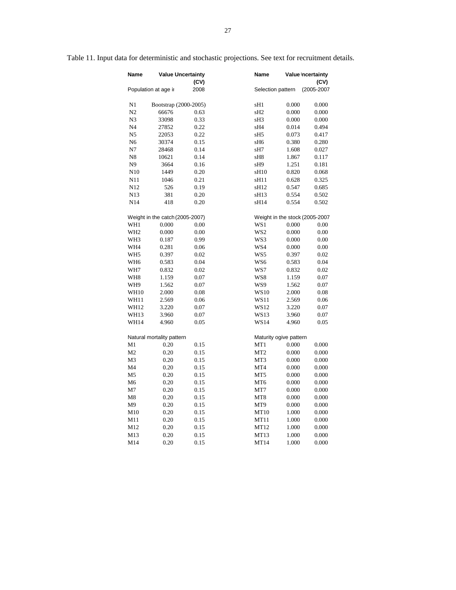| Name            |                                 | <b>Value Uncertainty</b><br>(CV) | Name             |                                | Value Incertainty<br>(CV) |
|-----------------|---------------------------------|----------------------------------|------------------|--------------------------------|---------------------------|
|                 | Population at age ir            | 2008                             |                  | Selection pattern              | (2005-2007                |
| N1              |                                 | Bootstrap (2000-2005)            | sH1              | 0.000                          | 0.000                     |
| N2              | 66676                           | 0.63                             | sH <sub>2</sub>  | 0.000                          | 0.000                     |
| N <sub>3</sub>  | 33098                           | 0.33                             | sH <sub>3</sub>  | 0.000                          | 0.000                     |
| N <sub>4</sub>  | 27852                           | 0.22                             | sH4              | 0.014                          | 0.494                     |
| N <sub>5</sub>  | 22053                           | 0.22                             | sH <sub>5</sub>  | 0.073                          | 0.417                     |
| N <sub>6</sub>  | 30374                           | 0.15                             | sH <sub>6</sub>  | 0.380                          | 0.280                     |
| N7              | 28468                           | 0.14                             | sH7              | 1.608                          | 0.027                     |
| N <sub>8</sub>  | 10621                           | 0.14                             | sH8              | 1.867                          | 0.117                     |
| N <sub>9</sub>  | 3664                            | 0.16                             | sH <sub>9</sub>  | 1.251                          | 0.181                     |
| N10             | 1449                            | 0.20                             | sH <sub>10</sub> | 0.820                          | 0.068                     |
| N11             | 1046                            | 0.21                             | sH11             | 0.628                          | 0.325                     |
| N12             | 526                             | 0.19                             | sH12             | 0.547                          | 0.685                     |
| N <sub>13</sub> | 381                             | 0.20                             | sH <sub>13</sub> | 0.554                          | 0.502                     |
| N14             | 418                             | 0.20                             | sH14             | 0.554                          | 0.502                     |
|                 |                                 |                                  |                  |                                |                           |
|                 | Weight in the catch (2005-2007) |                                  |                  | Weight in the stock (2005-2007 |                           |
| WH1             | 0.000                           | 0.00                             | WS1              | 0.000                          | 0.00                      |
| WH <sub>2</sub> | 0.000                           | 0.00                             | WS <sub>2</sub>  | 0.000                          | 0.00                      |
| WH <sub>3</sub> | 0.187                           | 0.99                             | WS3              | 0.000                          | 0.00                      |
| WH4             | 0.281                           | 0.06                             | WS4              | 0.000                          | 0.00                      |
| WH <sub>5</sub> | 0.397                           | 0.02                             | WS5              | 0.397                          | 0.02                      |
| WH <sub>6</sub> | 0.583                           | 0.04                             | WS6              | 0.583                          | 0.04                      |
| WH7             | 0.832                           | 0.02                             | WS7              | 0.832                          | 0.02                      |
| WH8             | 1.159                           | 0.07                             | WS8              | 1.159                          | 0.07                      |
| WH9             | 1.562                           | 0.07                             | WS9              | 1.562                          | 0.07                      |
| <b>WH10</b>     | 2.000                           | 0.08                             | WS10             | 2.000                          | 0.08                      |
| WH11            | 2.569                           | 0.06                             | WS11             | 2.569                          | 0.06                      |
| WH12            | 3.220                           | 0.07                             | WS12             | 3.220                          | 0.07                      |
| WH13            | 3.960                           | 0.07                             | <b>WS13</b>      | 3.960                          | 0.07                      |
| <b>WH14</b>     | 4.960                           | 0.05                             | <b>WS14</b>      | 4.960                          | 0.05                      |
|                 | Natural mortality pattern       |                                  |                  | Maturity ogive pattern         |                           |
| M1              | 0.20                            | 0.15                             | MT1              | 0.000                          | 0.000                     |
| M <sub>2</sub>  | 0.20                            | 0.15                             | MT <sub>2</sub>  | 0.000                          | 0.000                     |
| M <sub>3</sub>  | 0.20                            | 0.15                             | MT3              | 0.000                          | 0.000                     |
| M <sub>4</sub>  | 0.20                            | 0.15                             | MT4              | 0.000                          | 0.000                     |
| M <sub>5</sub>  | 0.20                            | 0.15                             | MT5              | 0.000                          | 0.000                     |
| M <sub>6</sub>  | 0.20                            | 0.15                             | MT <sub>6</sub>  | 0.000                          | 0.000                     |
| M7              | 0.20                            | 0.15                             | MT7              | 0.000                          | 0.000                     |
| M8              | 0.20                            | 0.15                             | MT <sub>8</sub>  | 0.000                          | 0.000                     |
| M <sub>9</sub>  | 0.20                            | 0.15                             | MT9              | 0.000                          | 0.000                     |
| M10             | 0.20                            | 0.15                             | <b>MT10</b>      | 1.000                          | 0.000                     |
| M11             | 0.20                            | 0.15                             | MT11             | 1.000                          | 0.000                     |
| M12             | 0.20                            | 0.15                             | MT12             | 1.000                          | 0.000                     |
| M13             | 0.20                            | 0.15                             | MT13             | 1.000                          | 0.000                     |
| M14             | 0.20                            | 0.15                             | MT14             | 1.000                          | 0.000                     |
|                 |                                 |                                  |                  |                                |                           |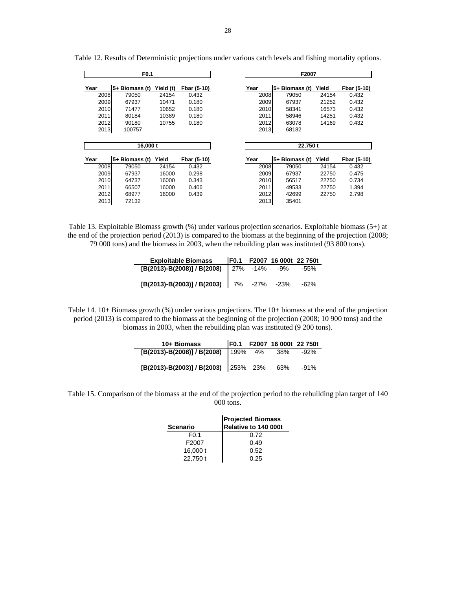|      | F <sub>0.1</sub> |           |             |      | F2007          |       |             |  |  |  |  |
|------|------------------|-----------|-------------|------|----------------|-------|-------------|--|--|--|--|
| Year | 5+ Biomass (t)   | Yield (t) | Fbar (5-10) | Year | 5+ Biomass (t) | Yield | Fbar (5-10) |  |  |  |  |
| 2008 | 79050            | 24154     | 0.432       | 2008 | 79050          | 24154 | 0.432       |  |  |  |  |
| 2009 | 67937            | 10471     | 0.180       | 2009 | 67937          | 21252 | 0.432       |  |  |  |  |
| 2010 | 71477            | 10652     | 0.180       | 2010 | 58341          | 16573 | 0.432       |  |  |  |  |
| 2011 | 80184            | 10389     | 0.180       | 2011 | 58946          | 14251 | 0.432       |  |  |  |  |
| 2012 | 90180            | 10755     | 0.180       | 2012 | 63078          | 14169 | 0.432       |  |  |  |  |
| 2013 | 100757           |           |             | 2013 | 68182          |       |             |  |  |  |  |
|      |                  |           |             |      |                |       |             |  |  |  |  |
|      | 16,000 t         |           |             |      | 22,750 t       |       |             |  |  |  |  |
| Year | 5+ Biomass (t)   | Yield     | Fbar (5-10) | Year | 5+ Biomass (t) | Yield | Fbar (5-10) |  |  |  |  |
| 2008 | 79050            | 24154     | 0.432       | 2008 | 79050          | 24154 | 0.432       |  |  |  |  |
| 2009 | 67937            | 16000     | 0.298       | 2009 | 67937          | 22750 | 0.475       |  |  |  |  |
|      |                  |           |             |      |                |       |             |  |  |  |  |
| 2010 | 64737            | 16000     | 0.343       | 2010 | 56517          | 22750 | 0.734       |  |  |  |  |
| 2011 | 66507            | 16000     | 0.406       | 2011 | 49533          | 22750 | 1.394       |  |  |  |  |
| 2012 | 68977            | 16000     | 0.439       | 2012 | 42699          | 22750 | 2.798       |  |  |  |  |

Table 12. Results of Deterministic projections under various catch levels and fishing mortality options.

Table 13. Exploitable Biomass growth (%) under various projection scenarios. Exploitable biomass (5+) at the end of the projection period (2013) is compared to the biomass at the beginning of the projection (2008; 79 000 tons) and the biomass in 2003, when the rebuilding plan was instituted (93 800 tons).

| Exploitable Biomass   F0.1  F2007 16 000t 22 750t |  |  |
|---------------------------------------------------|--|--|
| $[B(2013) - B(2008)] / B(2008)$ 27% -14% -9% -55% |  |  |
| $[B(2013)-B(2003)]/B(2003)$ 7% -27% -23% -62%     |  |  |

÷,

Table 14. 10+ Biomass growth (%) under various projections. The 10+ biomass at the end of the projection period (2013) is compared to the biomass at the beginning of the projection (2008; 10 900 tons) and the biomass in 2003, when the rebuilding plan was instituted (9 200 tons).

| 10+ Biomass                          |      | F0.1 F2007 16 000t 22 750t |      |
|--------------------------------------|------|----------------------------|------|
| [B(2013)-B(2008)] / B(2008)          | 199% | 4% 38%                     | -92% |
|                                      |      |                            |      |
| [B(2013)-B(2003)] / B(2003) 253% 23% |      | 63%                        | -91% |

Table 15. Comparison of the biomass at the end of the projection period to the rebuilding plan target of 140 000 tons.

|                   | <b>Projected Biomass</b> |
|-------------------|--------------------------|
| <b>Scenario</b>   | Relative to 140 000t     |
| F <sub>0.1</sub>  | 0.72                     |
| F <sub>2007</sub> | 0.49                     |
| 16,000 $t$        | 0.52                     |
| 22.750 t          | 0.25                     |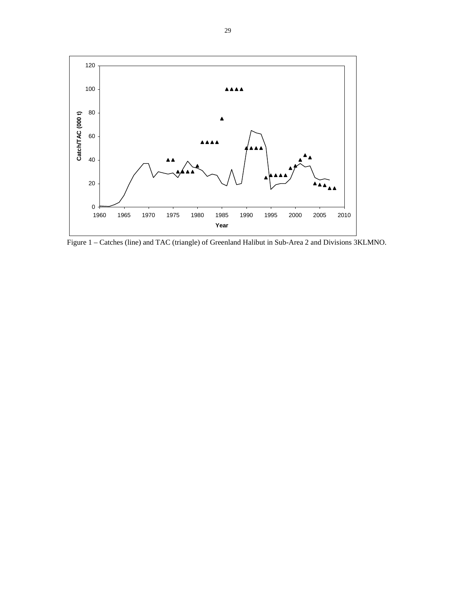

Figure 1 – Catches (line) and TAC (triangle) of Greenland Halibut in Sub-Area 2 and Divisions 3KLMNO.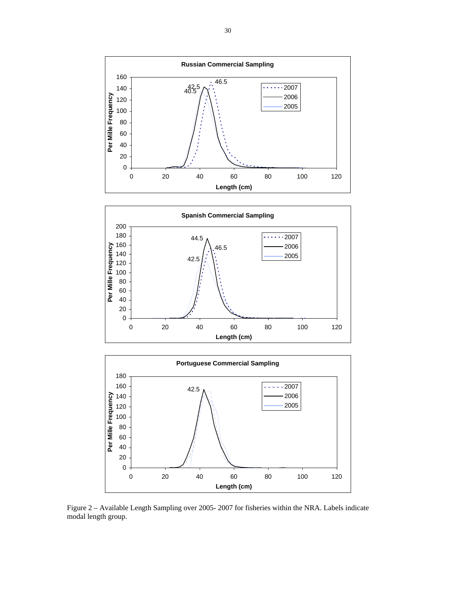





Figure 2 – Available Length Sampling over 2005- 2007 for fisheries within the NRA. Labels indicate modal length group.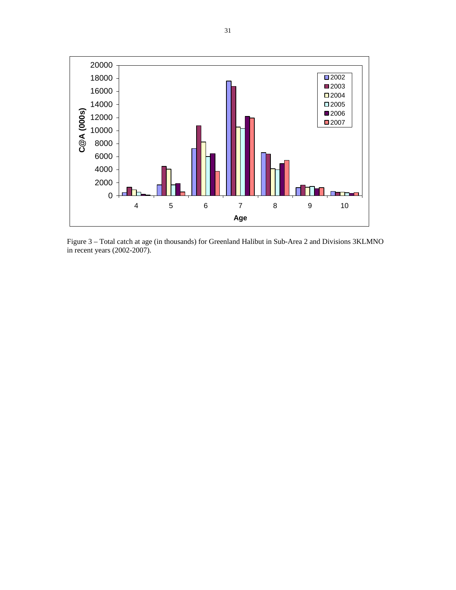

Figure 3 – Total catch at age (in thousands) for Greenland Halibut in Sub-Area 2 and Divisions 3KLMNO in recent years (2002-2007).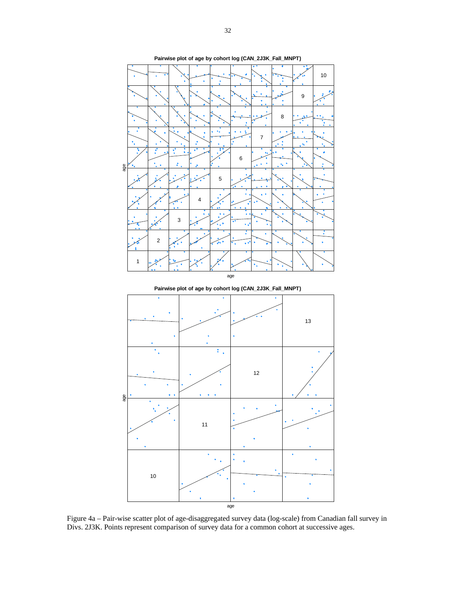

Figure 4a – Pair-wise scatter plot of age-disaggregated survey data (log-scale) from Canadian fall survey in Divs. 2J3K. Points represent comparison of survey data for a common cohort at successive ages.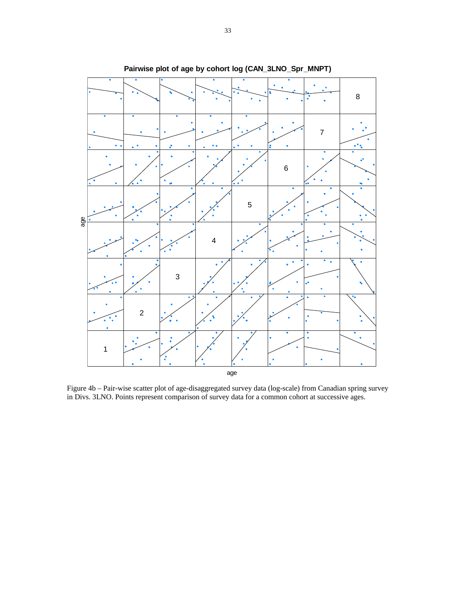

**Pairwise plot of age by cohort log (CAN\_3LNO\_Spr\_MNPT)**

Figure 4b – Pair-wise scatter plot of age-disaggregated survey data (log-scale) from Canadian spring survey in Divs. 3LNO. Points represent comparison of survey data for a common cohort at successive ages.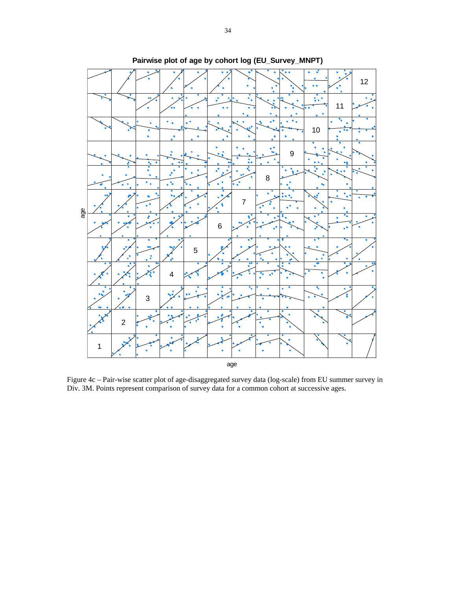

**Pairwise plot of age by cohort log (EU\_Survey\_MNPT)**

Figure 4c – Pair-wise scatter plot of age-disaggregated survey data (log-scale) from EU summer survey in Div. 3M. Points represent comparison of survey data for a common cohort at successive ages.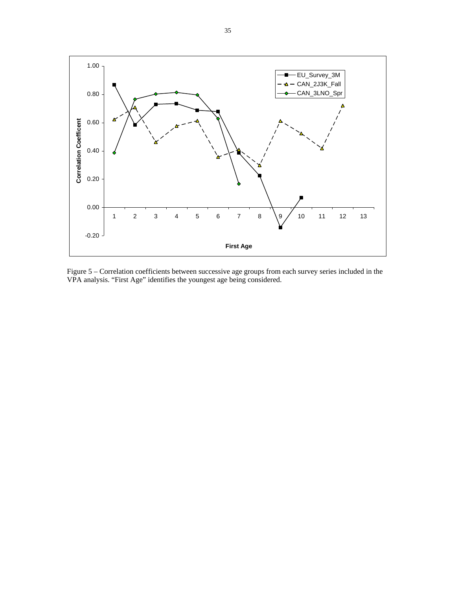

Figure 5 – Correlation coefficients between successive age groups from each survey series included in the VPA analysis. "First Age" identifies the youngest age being considered.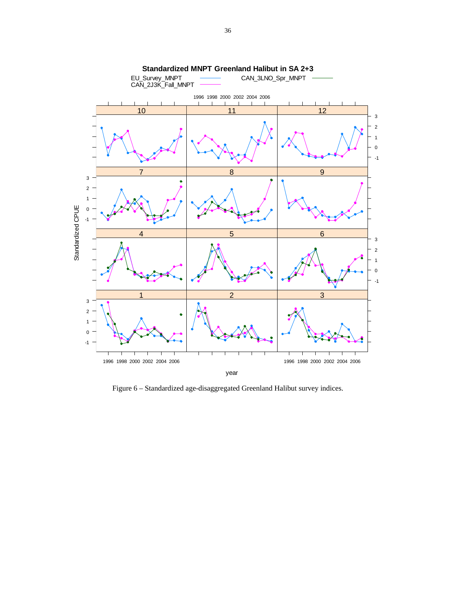

Figure 6 – Standardized age-disaggregated Greenland Halibut survey indices.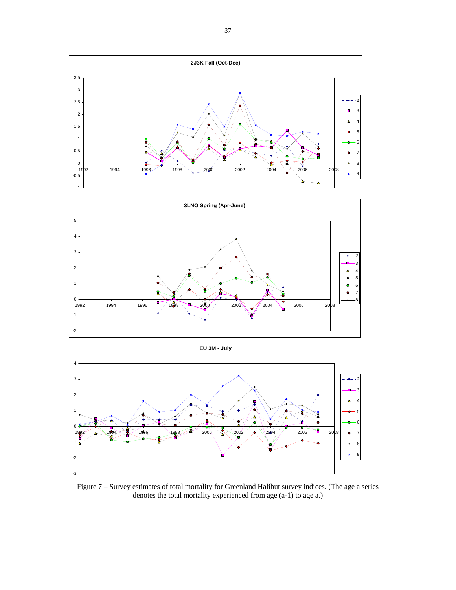

Figure 7 – Survey estimates of total mortality for Greenland Halibut survey indices. (The age a series denotes the total mortality experienced from age (a-1) to age a.)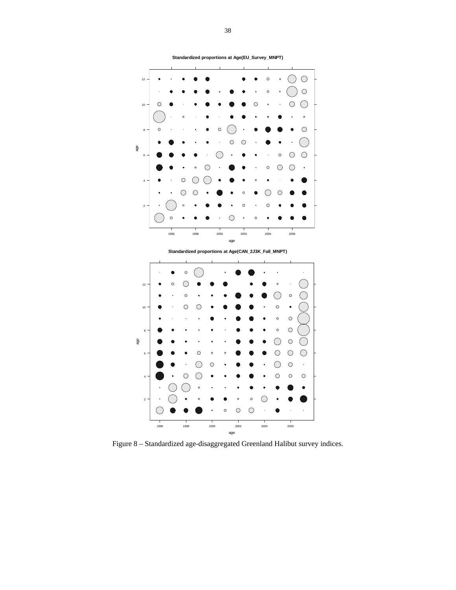

**Standardized proportions at Age(EU\_Survey\_MNPT)**

Figure 8 – Standardized age-disaggregated Greenland Halibut survey indices.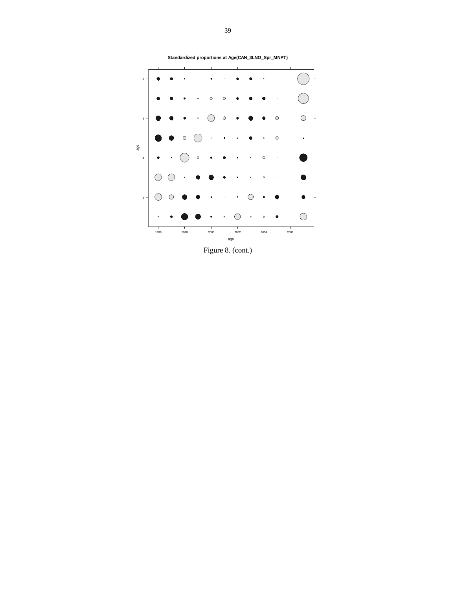

Figure 8. (cont.)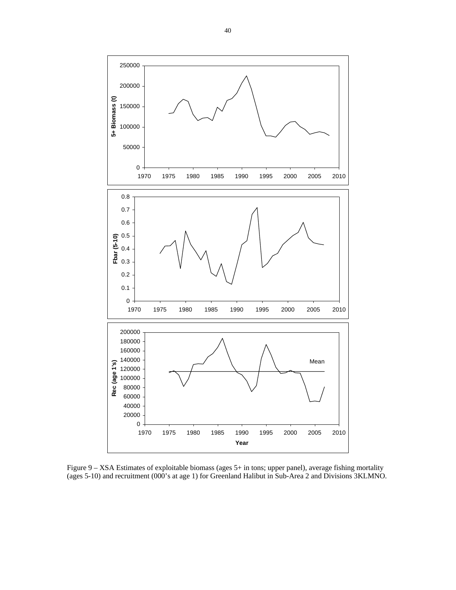

Figure 9 – XSA Estimates of exploitable biomass (ages 5+ in tons; upper panel), average fishing mortality (ages 5-10) and recruitment (000's at age 1) for Greenland Halibut in Sub-Area 2 and Divisions 3KLMNO.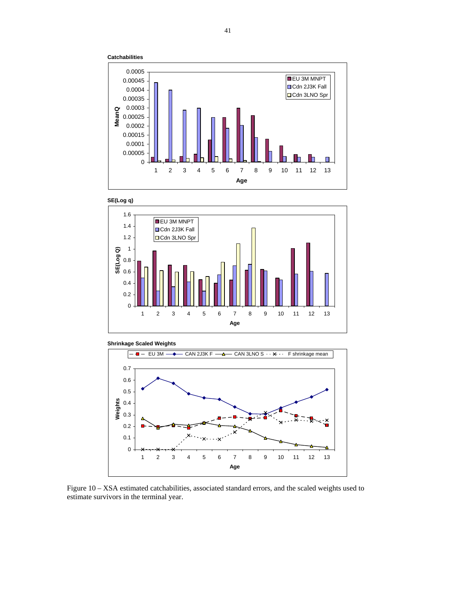









Figure 10 – XSA estimated catchabilities, associated standard errors, and the scaled weights used to estimate survivors in the terminal year.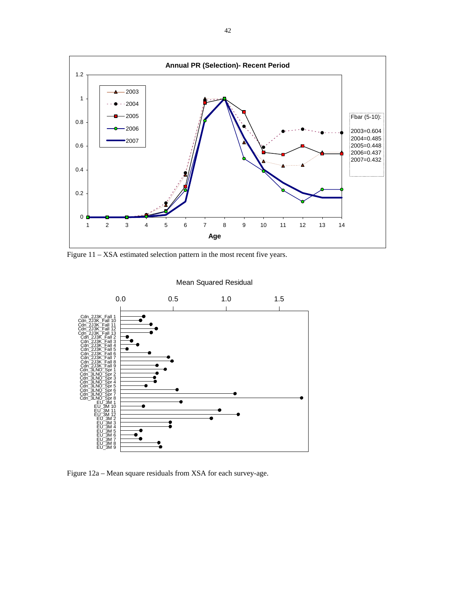

Figure 11 – XSA estimated selection pattern in the most recent five years.



Figure 12a – Mean square residuals from XSA for each survey-age.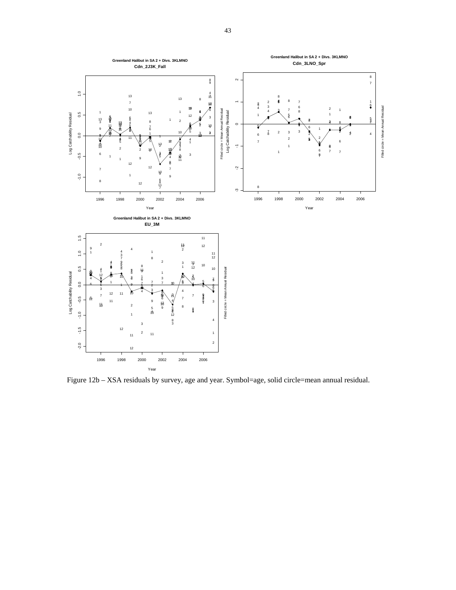

Figure 12b – XSA residuals by survey, age and year. Symbol=age, solid circle=mean annual residual.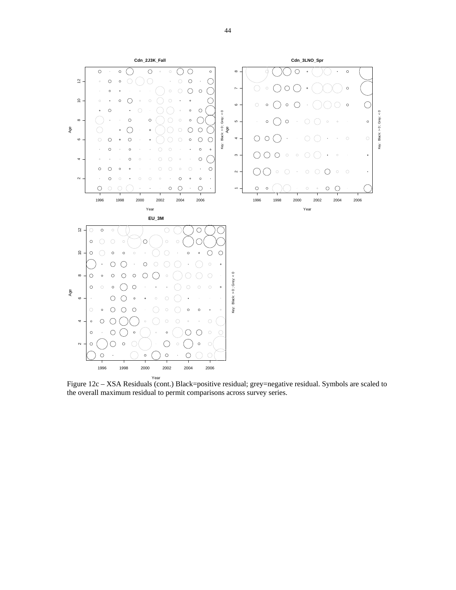

Figure 12c – XSA Residuals (cont.) Black=positive residual; grey=negative residual. Symbols are scaled to the overall maximum residual to permit comparisons across survey series.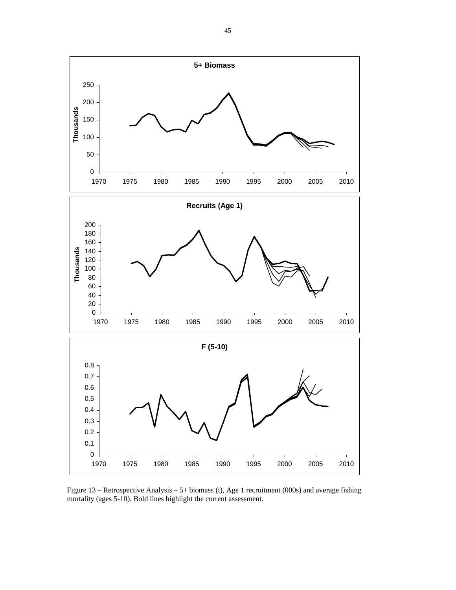

Figure 13 – Retrospective Analysis – 5+ biomass (t), Age 1 recruitment (000s) and average fishing mortality (ages 5-10). Bold lines highlight the current assessment.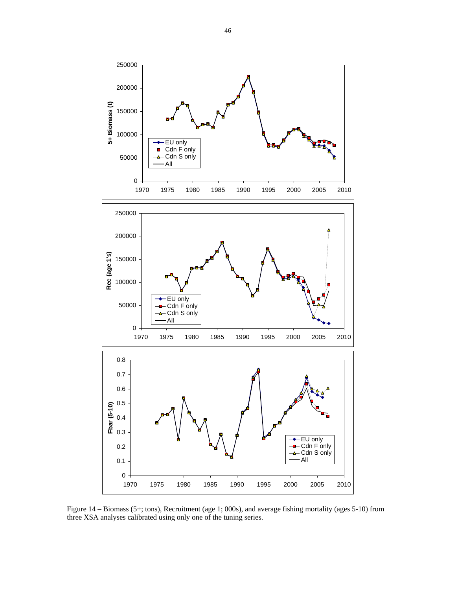

Figure 14 – Biomass (5+; tons), Recruitment (age 1; 000s), and average fishing mortality (ages 5-10) from three XSA analyses calibrated using only one of the tuning series.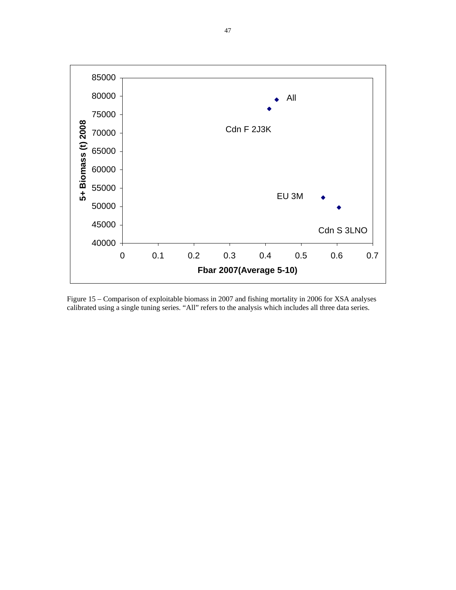

Figure 15 – Comparison of exploitable biomass in 2007 and fishing mortality in 2006 for XSA analyses calibrated using a single tuning series. "All" refers to the analysis which includes all three data series.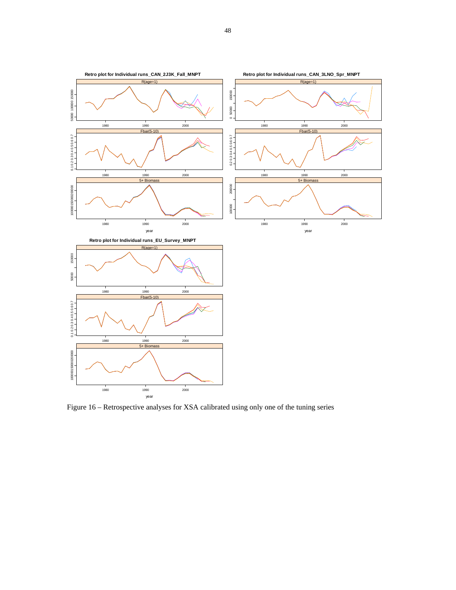

Figure 16 – Retrospective analyses for XSA calibrated using only one of the tuning series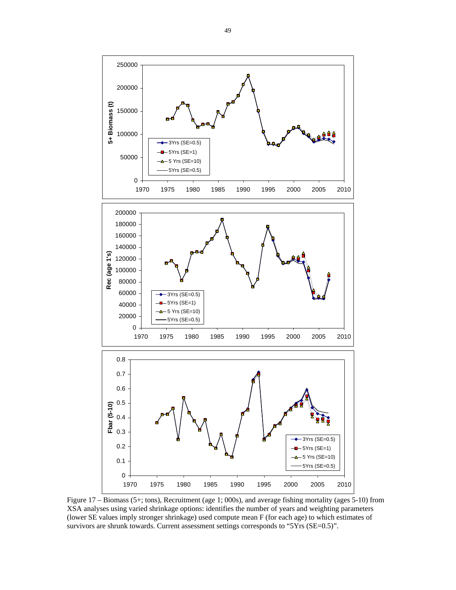

Figure 17 – Biomass (5+; tons), Recruitment (age 1; 000s), and average fishing mortality (ages 5-10) from XSA analyses using varied shrinkage options: identifies the number of years and weighting parameters (lower SE values imply stronger shrinkage) used compute mean F (for each age) to which estimates of survivors are shrunk towards. Current assessment settings corresponds to "5Yrs (SE=0.5)".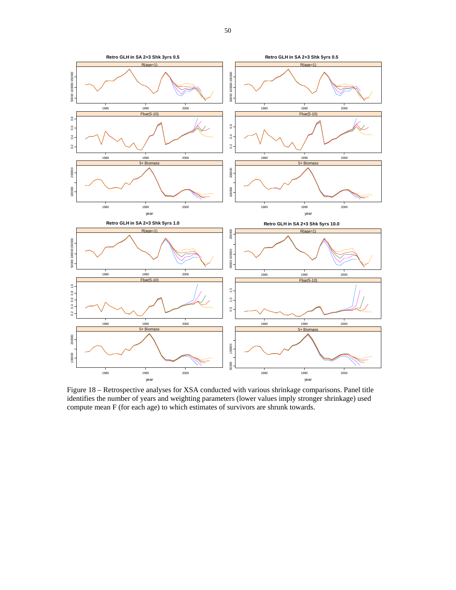

Figure 18 – Retrospective analyses for XSA conducted with various shrinkage comparisons. Panel title identifies the number of years and weighting parameters (lower values imply stronger shrinkage) used compute mean F (for each age) to which estimates of survivors are shrunk towards.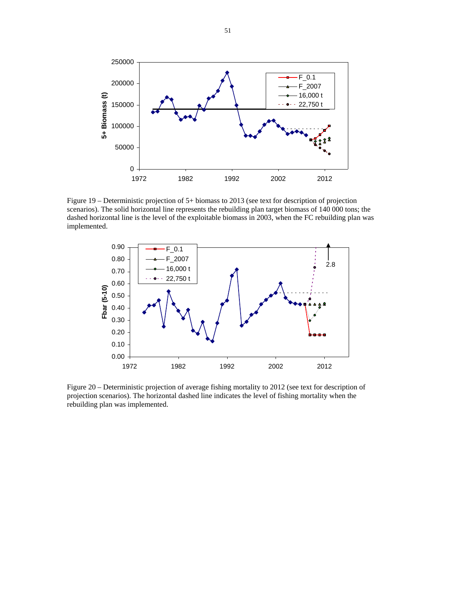

Figure 19 – Deterministic projection of 5+ biomass to 2013 (see text for description of projection scenarios). The solid horizontal line represents the rebuilding plan target biomass of 140 000 tons; the dashed horizontal line is the level of the exploitable biomass in 2003, when the FC rebuilding plan was implemented.



Figure 20 – Deterministic projection of average fishing mortality to 2012 (see text for description of projection scenarios). The horizontal dashed line indicates the level of fishing mortality when the rebuilding plan was implemented.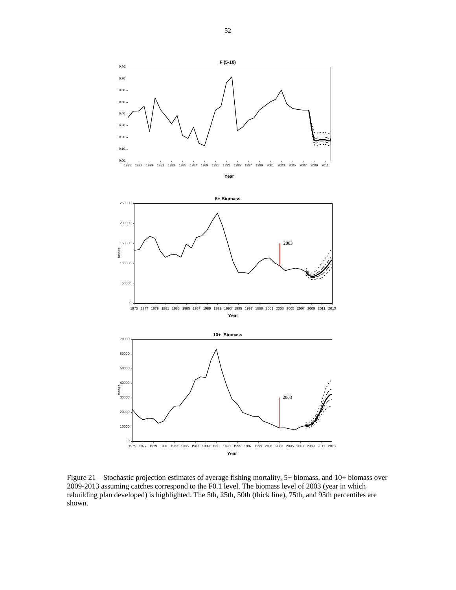

Figure 21 – Stochastic projection estimates of average fishing mortality, 5+ biomass, and 10+ biomass over 2009-2013 assuming catches correspond to the F0.1 level. The biomass level of 2003 (year in which rebuilding plan developed) is highlighted. The 5th, 25th, 50th (thick line), 75th, and 95th percentiles are shown.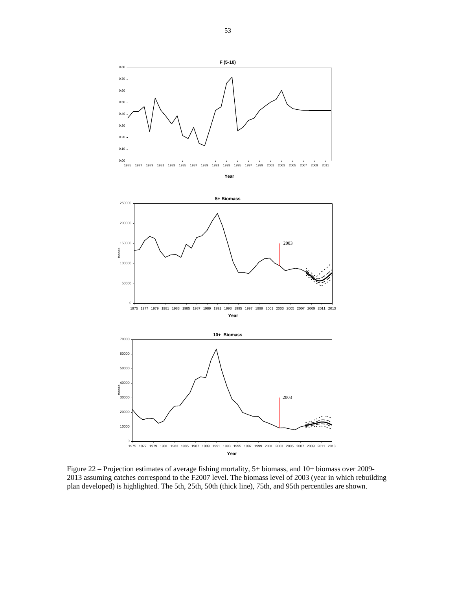

Figure 22 – Projection estimates of average fishing mortality, 5+ biomass, and 10+ biomass over 2009- 2013 assuming catches correspond to the F2007 level. The biomass level of 2003 (year in which rebuilding plan developed) is highlighted. The 5th, 25th, 50th (thick line), 75th, and 95th percentiles are shown.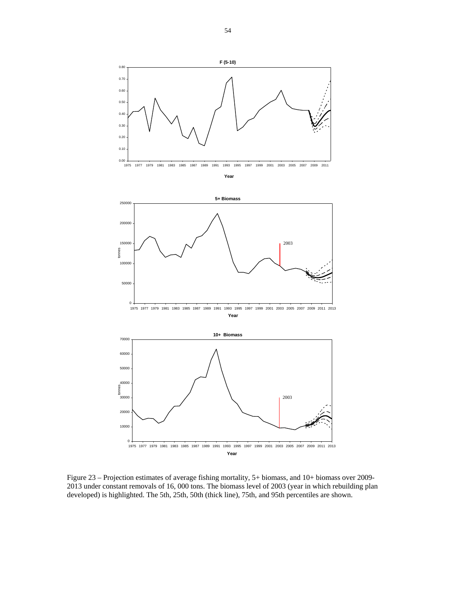

Figure 23 – Projection estimates of average fishing mortality, 5+ biomass, and 10+ biomass over 2009- 2013 under constant removals of 16, 000 tons. The biomass level of 2003 (year in which rebuilding plan developed) is highlighted. The 5th, 25th, 50th (thick line), 75th, and 95th percentiles are shown.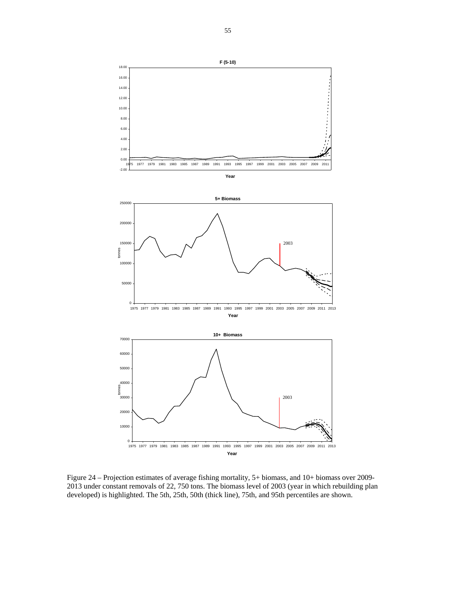

Figure 24 – Projection estimates of average fishing mortality, 5+ biomass, and 10+ biomass over 2009- 2013 under constant removals of 22, 750 tons. The biomass level of 2003 (year in which rebuilding plan developed) is highlighted. The 5th, 25th, 50th (thick line), 75th, and 95th percentiles are shown.